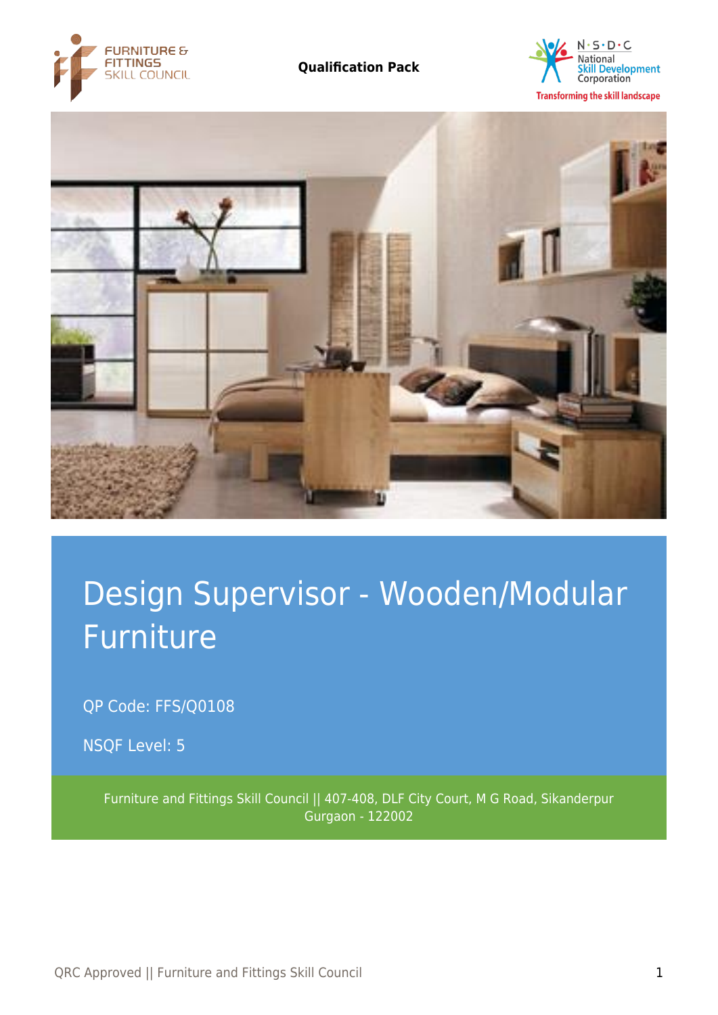





# Design Supervisor - Wooden/Modular Furniture

QP Code: FFS/Q0108

NSQF Level: 5

Furniture and Fittings Skill Council || 407-408, DLF City Court, M G Road, Sikanderpur Gurgaon - 122002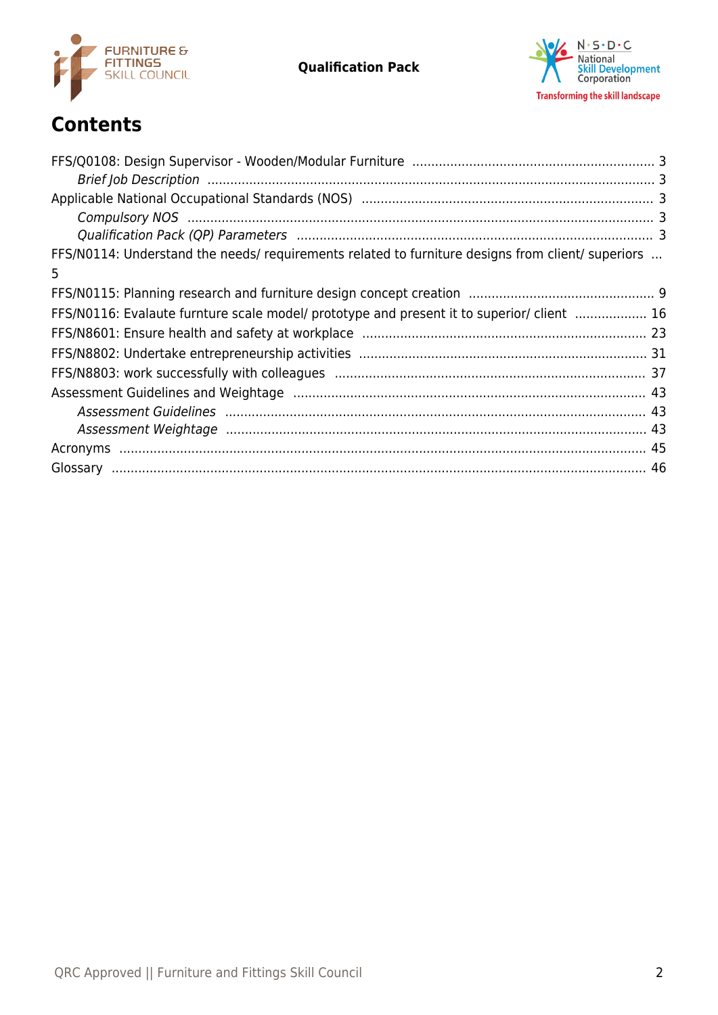



# **Contents**

| FFS/N0114: Understand the needs/requirements related to furniture designs from client/ superiors |  |
|--------------------------------------------------------------------------------------------------|--|
| $5\overline{)}$                                                                                  |  |
|                                                                                                  |  |
| FFS/N0116: Evalaute furnture scale model/ prototype and present it to superior/ client  16       |  |
|                                                                                                  |  |
|                                                                                                  |  |
|                                                                                                  |  |
|                                                                                                  |  |
|                                                                                                  |  |
|                                                                                                  |  |
|                                                                                                  |  |
|                                                                                                  |  |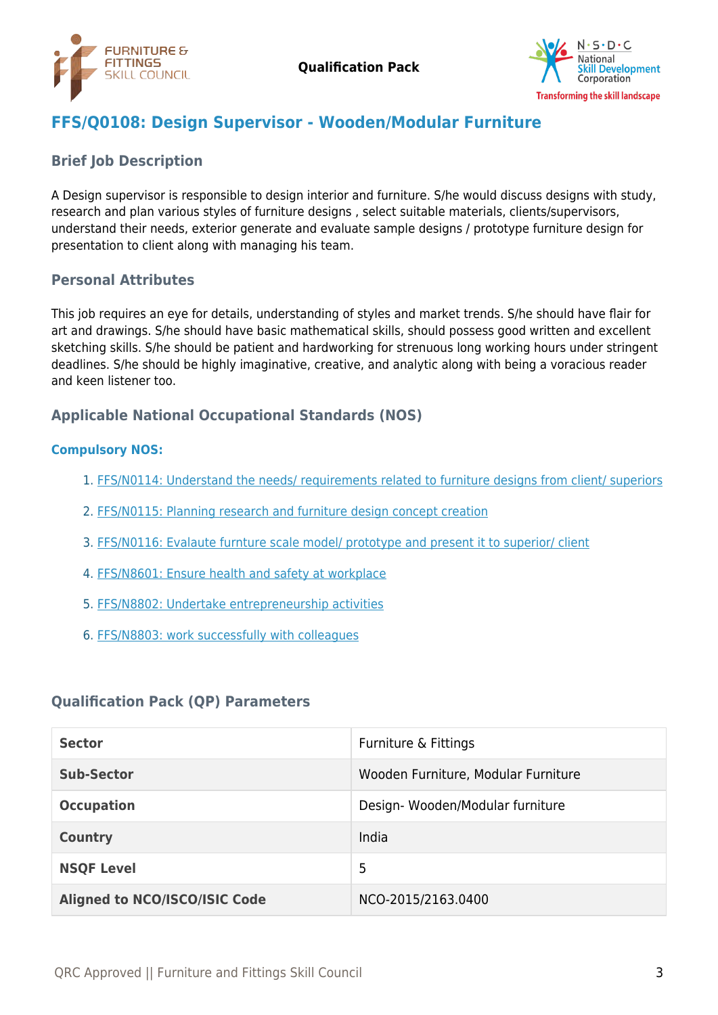



# <span id="page-2-0"></span>**FFS/Q0108: Design Supervisor - Wooden/Modular Furniture**

### <span id="page-2-1"></span>**Brief Job Description**

A Design supervisor is responsible to design interior and furniture. S/he would discuss designs with study, research and plan various styles of furniture designs , select suitable materials, clients/supervisors, understand their needs, exterior generate and evaluate sample designs / prototype furniture design for presentation to client along with managing his team.

#### **Personal Attributes**

This job requires an eye for details, understanding of styles and market trends. S/he should have flair for art and drawings. S/he should have basic mathematical skills, should possess good written and excellent sketching skills. S/he should be patient and hardworking for strenuous long working hours under stringent deadlines. S/he should be highly imaginative, creative, and analytic along with being a voracious reader and keen listener too.

#### <span id="page-2-2"></span>**Applicable National Occupational Standards (NOS)**

#### <span id="page-2-3"></span>**Compulsory NOS:**

- 1. [FFS/N0114: Understand the needs/ requirements related to furniture designs from client/ superiors](#page-4-0)
- 2. [FFS/N0115: Planning research and furniture design concept creation](#page-8-0)
- 3. [FFS/N0116: Evalaute furnture scale model/ prototype and present it to superior/ client](#page-15-0)
- 4. [FFS/N8601: Ensure health and safety at workplace](#page-22-0)
- 5. [FFS/N8802: Undertake entrepreneurship activities](#page-30-0)
- 6. [FFS/N8803: work successfully with colleagues](#page-36-0)

## <span id="page-2-4"></span>**Qualification Pack (QP) Parameters**

| <b>Sector</b>                        | Furniture & Fittings                |
|--------------------------------------|-------------------------------------|
| <b>Sub-Sector</b>                    | Wooden Furniture, Modular Furniture |
| <b>Occupation</b>                    | Design-Wooden/Modular furniture     |
| <b>Country</b>                       | India                               |
| <b>NSQF Level</b>                    | 5                                   |
| <b>Aligned to NCO/ISCO/ISIC Code</b> | NCO-2015/2163.0400                  |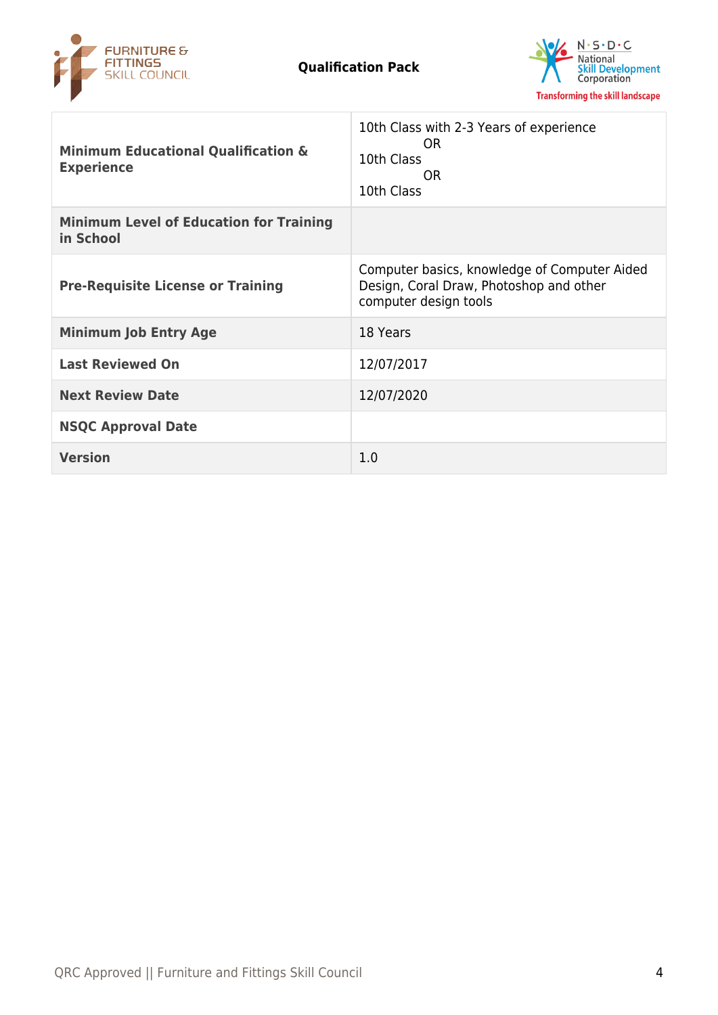



| <b>Minimum Educational Qualification &amp;</b><br><b>Experience</b> | 10th Class with 2-3 Years of experience<br>OR.<br>10th Class<br>OR.<br>10th Class                                |
|---------------------------------------------------------------------|------------------------------------------------------------------------------------------------------------------|
| <b>Minimum Level of Education for Training</b><br>in School         |                                                                                                                  |
| <b>Pre-Requisite License or Training</b>                            | Computer basics, knowledge of Computer Aided<br>Design, Coral Draw, Photoshop and other<br>computer design tools |
| <b>Minimum Job Entry Age</b>                                        | 18 Years                                                                                                         |
| <b>Last Reviewed On</b>                                             | 12/07/2017                                                                                                       |
| <b>Next Review Date</b>                                             | 12/07/2020                                                                                                       |
| <b>NSQC Approval Date</b>                                           |                                                                                                                  |
| <b>Version</b>                                                      | 1.0                                                                                                              |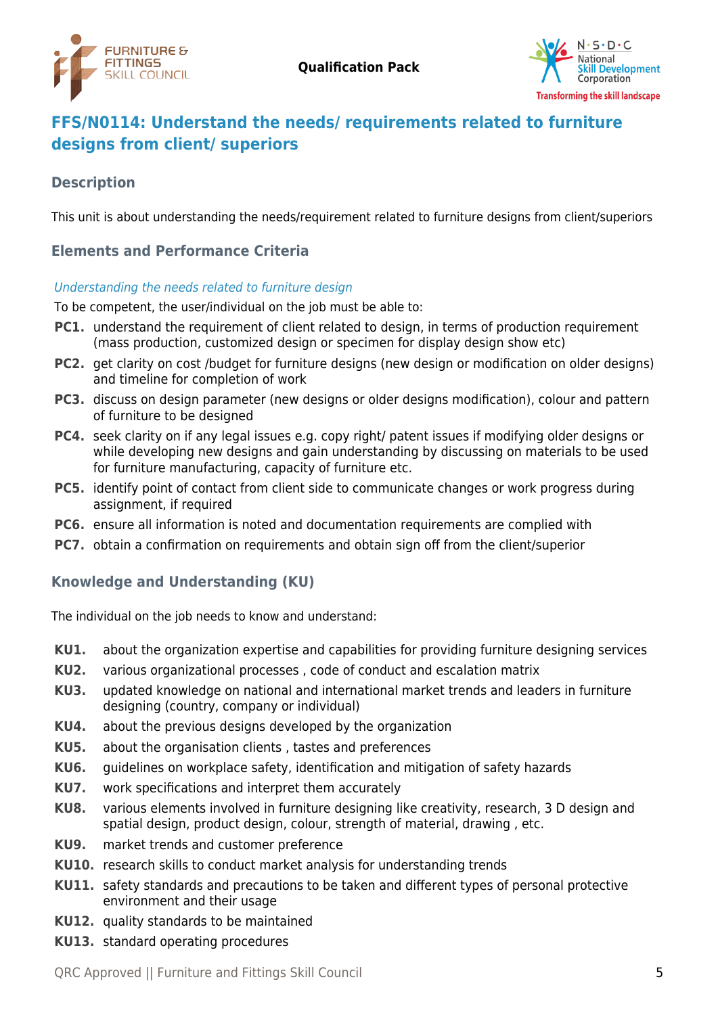



# <span id="page-4-0"></span>**FFS/N0114: Understand the needs/ requirements related to furniture designs from client/ superiors**

# **Description**

This unit is about understanding the needs/requirement related to furniture designs from client/superiors

# **Elements and Performance Criteria**

#### Understanding the needs related to furniture design

To be competent, the user/individual on the job must be able to:

- **PC1.** understand the requirement of client related to design, in terms of production requirement (mass production, customized design or specimen for display design show etc)
- **PC2.** get clarity on cost /budget for furniture designs (new design or modification on older designs) and timeline for completion of work
- **PC3.** discuss on design parameter (new designs or older designs modification), colour and pattern of furniture to be designed
- **PC4.** seek clarity on if any legal issues e.g. copy right/ patent issues if modifying older designs or while developing new designs and gain understanding by discussing on materials to be used for furniture manufacturing, capacity of furniture etc.
- **PC5.** identify point of contact from client side to communicate changes or work progress during assignment, if required
- **PC6.** ensure all information is noted and documentation requirements are complied with
- **PC7.** obtain a confirmation on requirements and obtain sign off from the client/superior

# **Knowledge and Understanding (KU)**

The individual on the job needs to know and understand:

- **KU1.** about the organization expertise and capabilities for providing furniture designing services
- **KU2.** various organizational processes , code of conduct and escalation matrix
- **KU3.** updated knowledge on national and international market trends and leaders in furniture designing (country, company or individual)
- **KU4.** about the previous designs developed by the organization
- **KU5.** about the organisation clients , tastes and preferences
- **KU6.** guidelines on workplace safety, identification and mitigation of safety hazards
- **KU7.** work specifications and interpret them accurately
- **KU8.** various elements involved in furniture designing like creativity, research, 3 D design and spatial design, product design, colour, strength of material, drawing , etc.
- **KU9.** market trends and customer preference
- **KU10.** research skills to conduct market analysis for understanding trends
- **KU11.** safety standards and precautions to be taken and different types of personal protective environment and their usage
- **KU12.** quality standards to be maintained
- **KU13.** standard operating procedures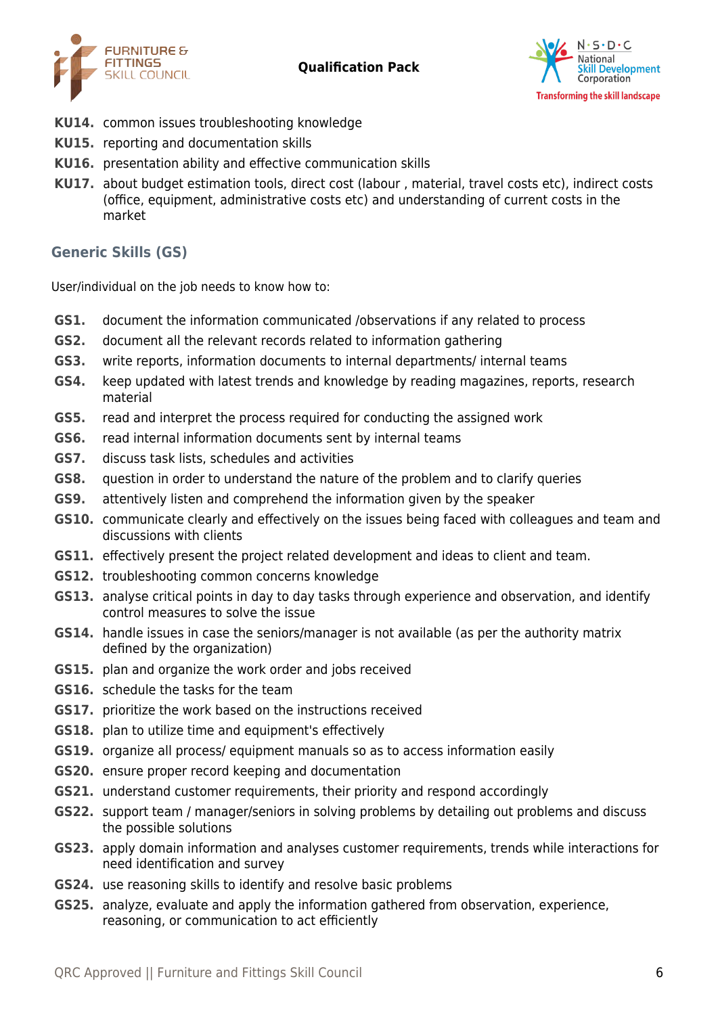



- **KU14.** common issues troubleshooting knowledge
- **KU15.** reporting and documentation skills
- **KU16.** presentation ability and effective communication skills
- **KU17.** about budget estimation tools, direct cost (labour , material, travel costs etc), indirect costs (office, equipment, administrative costs etc) and understanding of current costs in the market

# **Generic Skills (GS)**

User/individual on the job needs to know how to:

- **GS1.** document the information communicated /observations if any related to process
- **GS2.** document all the relevant records related to information gathering
- **GS3.** write reports, information documents to internal departments/ internal teams
- **GS4.** keep updated with latest trends and knowledge by reading magazines, reports, research material
- **GS5.** read and interpret the process required for conducting the assigned work
- **GS6.** read internal information documents sent by internal teams
- **GS7.** discuss task lists, schedules and activities
- **GS8.** question in order to understand the nature of the problem and to clarify queries
- **GS9.** attentively listen and comprehend the information given by the speaker
- **GS10.** communicate clearly and effectively on the issues being faced with colleagues and team and discussions with clients
- **GS11.** effectively present the project related development and ideas to client and team.
- **GS12.** troubleshooting common concerns knowledge
- **GS13.** analyse critical points in day to day tasks through experience and observation, and identify control measures to solve the issue
- **GS14.** handle issues in case the seniors/manager is not available (as per the authority matrix defined by the organization)
- **GS15.** plan and organize the work order and jobs received
- **GS16.** schedule the tasks for the team
- **GS17.** prioritize the work based on the instructions received
- **GS18.** plan to utilize time and equipment's effectively
- **GS19.** organize all process/ equipment manuals so as to access information easily
- **GS20.** ensure proper record keeping and documentation
- **GS21.** understand customer requirements, their priority and respond accordingly
- **GS22.** support team / manager/seniors in solving problems by detailing out problems and discuss the possible solutions
- **GS23.** apply domain information and analyses customer requirements, trends while interactions for need identification and survey
- **GS24.** use reasoning skills to identify and resolve basic problems
- **GS25.** analyze, evaluate and apply the information gathered from observation, experience, reasoning, or communication to act efficiently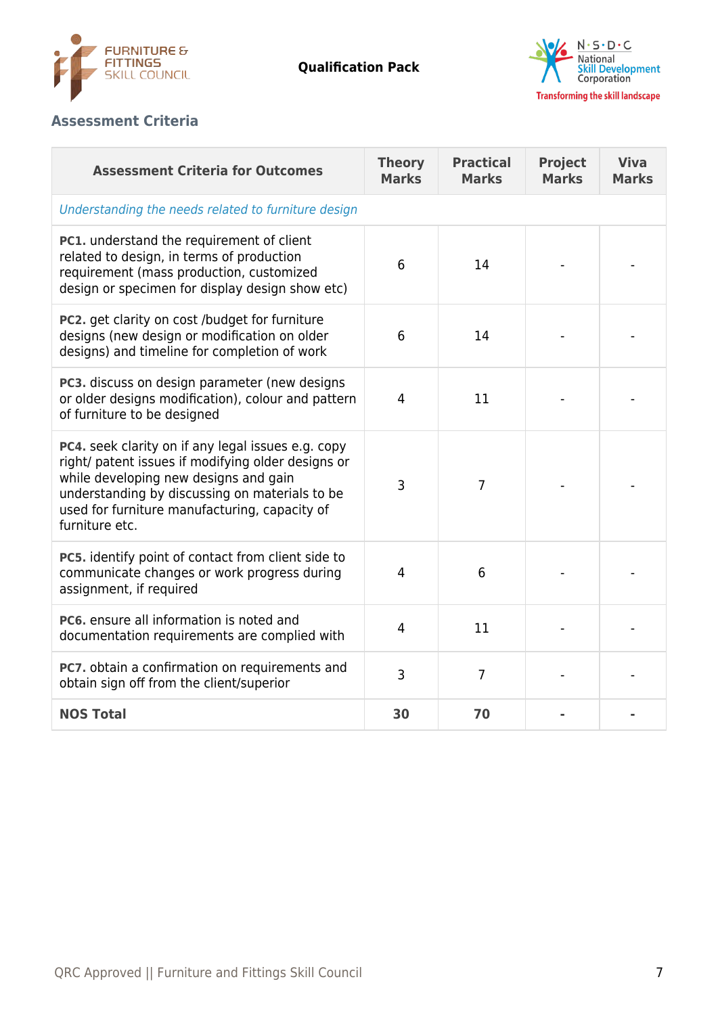



# **Assessment Criteria**

| <b>Assessment Criteria for Outcomes</b>                                                                                                                                                                                                                                | <b>Theory</b><br><b>Marks</b> | <b>Practical</b><br><b>Marks</b> | <b>Project</b><br><b>Marks</b> | <b>Viva</b><br><b>Marks</b> |  |
|------------------------------------------------------------------------------------------------------------------------------------------------------------------------------------------------------------------------------------------------------------------------|-------------------------------|----------------------------------|--------------------------------|-----------------------------|--|
| Understanding the needs related to furniture design                                                                                                                                                                                                                    |                               |                                  |                                |                             |  |
| PC1. understand the requirement of client<br>related to design, in terms of production<br>requirement (mass production, customized<br>design or specimen for display design show etc)                                                                                  | 6                             | 14                               |                                |                             |  |
| PC2. get clarity on cost /budget for furniture<br>designs (new design or modification on older<br>designs) and timeline for completion of work                                                                                                                         | 6                             | 14                               |                                |                             |  |
| PC3. discuss on design parameter (new designs<br>or older designs modification), colour and pattern<br>of furniture to be designed                                                                                                                                     | 4                             | 11                               |                                |                             |  |
| PC4. seek clarity on if any legal issues e.g. copy<br>right/ patent issues if modifying older designs or<br>while developing new designs and gain<br>understanding by discussing on materials to be<br>used for furniture manufacturing, capacity of<br>furniture etc. | 3                             | $\overline{7}$                   |                                |                             |  |
| PC5. identify point of contact from client side to<br>communicate changes or work progress during<br>assignment, if required                                                                                                                                           | $\overline{4}$                | 6                                |                                |                             |  |
| <b>PC6.</b> ensure all information is noted and<br>documentation requirements are complied with                                                                                                                                                                        | 4                             | 11                               |                                |                             |  |
| PC7. obtain a confirmation on requirements and<br>obtain sign off from the client/superior                                                                                                                                                                             | 3                             | $\overline{7}$                   |                                |                             |  |
| <b>NOS Total</b>                                                                                                                                                                                                                                                       | 30                            | 70                               |                                |                             |  |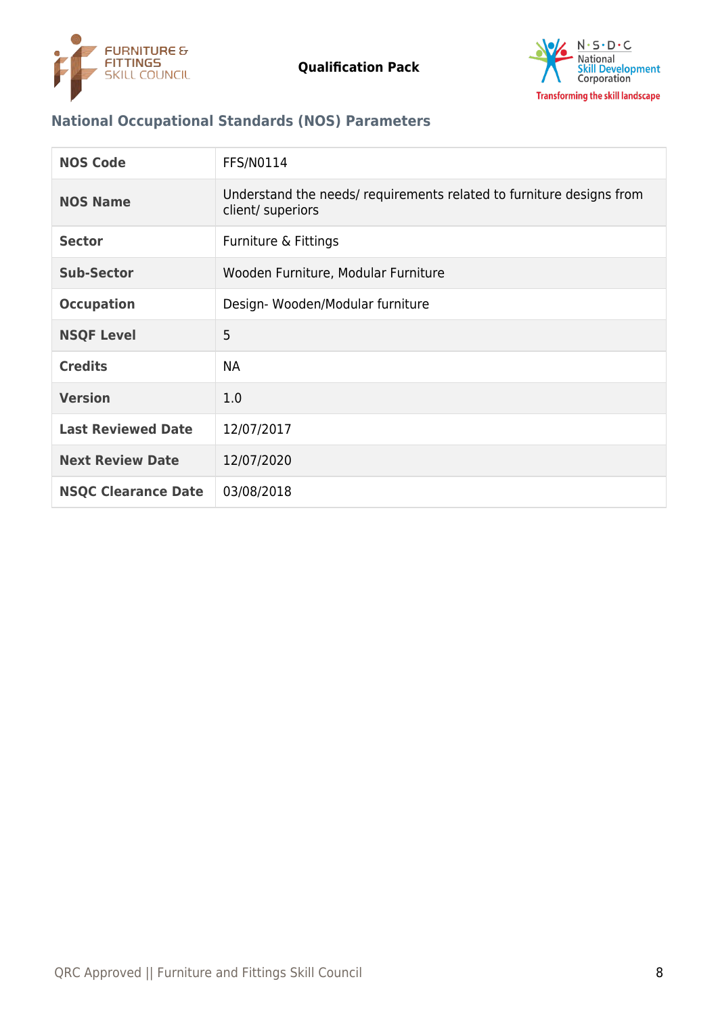



# **National Occupational Standards (NOS) Parameters**

| <b>NOS Code</b>            | FFS/N0114                                                                                 |
|----------------------------|-------------------------------------------------------------------------------------------|
| <b>NOS Name</b>            | Understand the needs/ requirements related to furniture designs from<br>client/ superiors |
| <b>Sector</b>              | Furniture & Fittings                                                                      |
| <b>Sub-Sector</b>          | Wooden Furniture, Modular Furniture                                                       |
| <b>Occupation</b>          | Design-Wooden/Modular furniture                                                           |
| <b>NSQF Level</b>          | 5                                                                                         |
| <b>Credits</b>             | <b>NA</b>                                                                                 |
| <b>Version</b>             | 1.0                                                                                       |
| <b>Last Reviewed Date</b>  | 12/07/2017                                                                                |
| <b>Next Review Date</b>    | 12/07/2020                                                                                |
| <b>NSQC Clearance Date</b> | 03/08/2018                                                                                |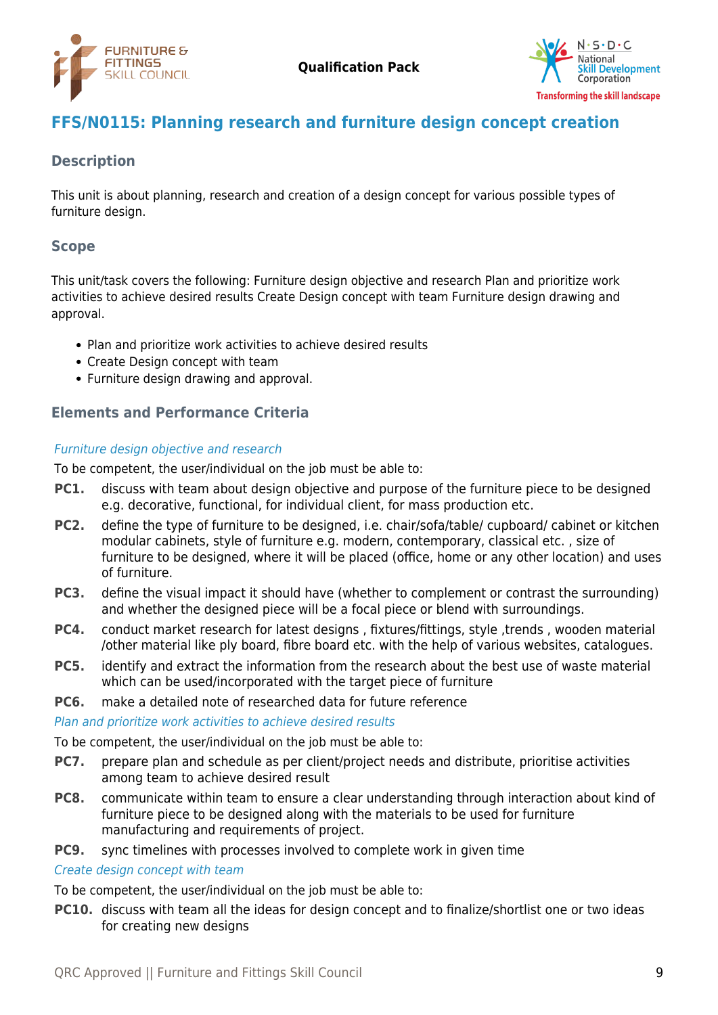



# <span id="page-8-0"></span>**FFS/N0115: Planning research and furniture design concept creation**

# **Description**

This unit is about planning, research and creation of a design concept for various possible types of furniture design.

## **Scope**

This unit/task covers the following: Furniture design objective and research Plan and prioritize work activities to achieve desired results Create Design concept with team Furniture design drawing and approval.

- Plan and prioritize work activities to achieve desired results
- Create Design concept with team
- Furniture design drawing and approval.

## **Elements and Performance Criteria**

#### Furniture design objective and research

To be competent, the user/individual on the job must be able to:

- **PC1.** discuss with team about design objective and purpose of the furniture piece to be designed e.g. decorative, functional, for individual client, for mass production etc.
- **PC2.** define the type of furniture to be designed, i.e. chair/sofa/table/ cupboard/ cabinet or kitchen modular cabinets, style of furniture e.g. modern, contemporary, classical etc. , size of furniture to be designed, where it will be placed (office, home or any other location) and uses of furniture.
- **PC3.** define the visual impact it should have (whether to complement or contrast the surrounding) and whether the designed piece will be a focal piece or blend with surroundings.
- **PC4.** conduct market research for latest designs, fixtures/fittings, style, trends, wooden material /other material like ply board, fibre board etc. with the help of various websites, catalogues.
- **PC5.** identify and extract the information from the research about the best use of waste material which can be used/incorporated with the target piece of furniture
- **PC6.** make a detailed note of researched data for future reference

Plan and prioritize work activities to achieve desired results

To be competent, the user/individual on the job must be able to:

- **PC7.** prepare plan and schedule as per client/project needs and distribute, prioritise activities among team to achieve desired result
- **PC8.** communicate within team to ensure a clear understanding through interaction about kind of furniture piece to be designed along with the materials to be used for furniture manufacturing and requirements of project.
- **PC9.** sync timelines with processes involved to complete work in given time

#### Create design concept with team

To be competent, the user/individual on the job must be able to:

**PC10.** discuss with team all the ideas for design concept and to finalize/shortlist one or two ideas for creating new designs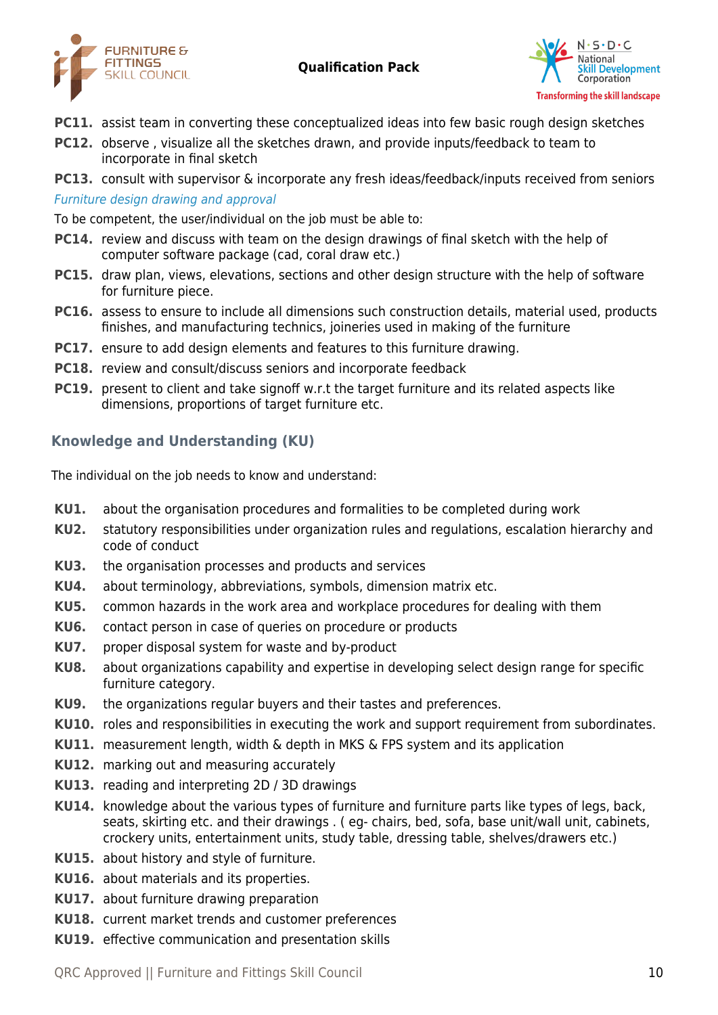



- **PC11.** assist team in converting these conceptualized ideas into few basic rough design sketches
- **PC12.** observe , visualize all the sketches drawn, and provide inputs/feedback to team to incorporate in final sketch
- **PC13.** consult with supervisor & incorporate any fresh ideas/feedback/inputs received from seniors Furniture design drawing and approval

To be competent, the user/individual on the job must be able to:

- **PC14.** review and discuss with team on the design drawings of final sketch with the help of computer software package (cad, coral draw etc.)
- **PC15.** draw plan, views, elevations, sections and other design structure with the help of software for furniture piece.
- **PC16.** assess to ensure to include all dimensions such construction details, material used, products finishes, and manufacturing technics, joineries used in making of the furniture
- **PC17.** ensure to add design elements and features to this furniture drawing.
- **PC18.** review and consult/discuss seniors and incorporate feedback
- **PC19.** present to client and take signoff w.r.t the target furniture and its related aspects like dimensions, proportions of target furniture etc.

# **Knowledge and Understanding (KU)**

The individual on the job needs to know and understand:

- **KU1.** about the organisation procedures and formalities to be completed during work
- **KU2.** statutory responsibilities under organization rules and regulations, escalation hierarchy and code of conduct
- **KU3.** the organisation processes and products and services
- **KU4.** about terminology, abbreviations, symbols, dimension matrix etc.
- **KU5.** common hazards in the work area and workplace procedures for dealing with them
- **KU6.** contact person in case of queries on procedure or products
- **KU7.** proper disposal system for waste and by-product
- **KU8.** about organizations capability and expertise in developing select design range for specific furniture category.
- **KU9.** the organizations regular buyers and their tastes and preferences.
- **KU10.** roles and responsibilities in executing the work and support requirement from subordinates.
- **KU11.** measurement length, width & depth in MKS & FPS system and its application
- **KU12.** marking out and measuring accurately
- **KU13.** reading and interpreting 2D / 3D drawings
- **KU14.** knowledge about the various types of furniture and furniture parts like types of legs, back, seats, skirting etc. and their drawings . ( eg- chairs, bed, sofa, base unit/wall unit, cabinets, crockery units, entertainment units, study table, dressing table, shelves/drawers etc.)
- **KU15.** about history and style of furniture.
- **KU16.** about materials and its properties.
- **KU17.** about furniture drawing preparation
- **KU18.** current market trends and customer preferences
- **KU19.** effective communication and presentation skills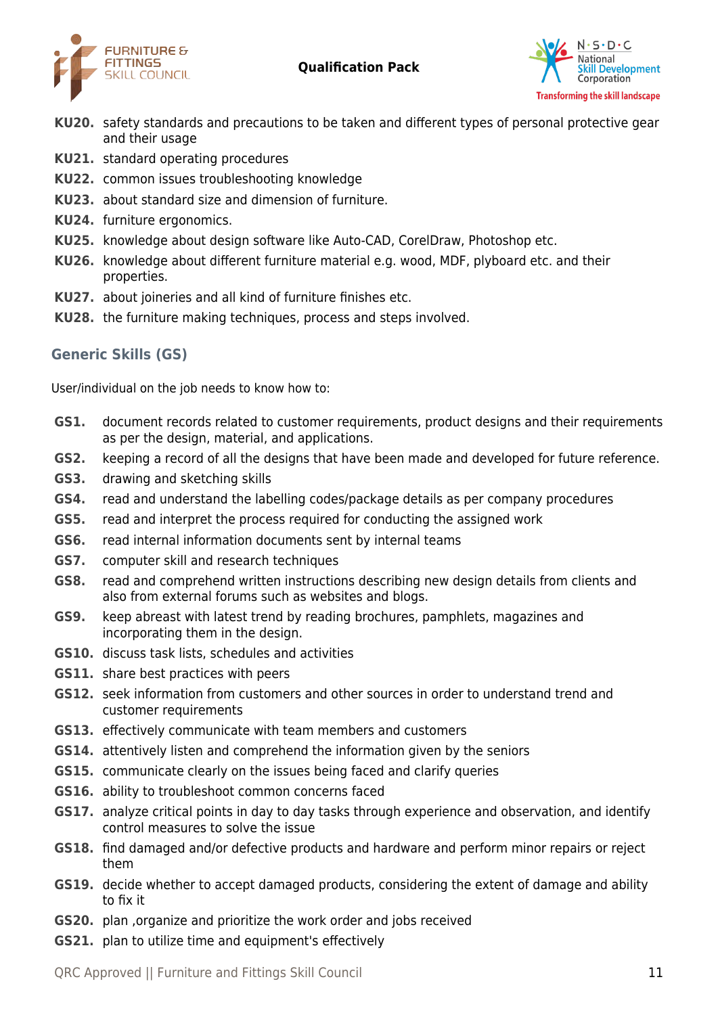



- **KU20.** safety standards and precautions to be taken and different types of personal protective gear and their usage
- **KU21.** standard operating procedures
- **KU22.** common issues troubleshooting knowledge
- **KU23.** about standard size and dimension of furniture.
- **KU24.** furniture ergonomics.
- **KU25.** knowledge about design software like Auto-CAD, CorelDraw, Photoshop etc.
- **KU26.** knowledge about different furniture material e.g. wood, MDF, plyboard etc. and their properties.
- **KU27.** about joineries and all kind of furniture finishes etc.
- **KU28.** the furniture making techniques, process and steps involved.

## **Generic Skills (GS)**

User/individual on the job needs to know how to:

- **GS1.** document records related to customer requirements, product designs and their requirements as per the design, material, and applications.
- **GS2.** keeping a record of all the designs that have been made and developed for future reference.
- **GS3.** drawing and sketching skills
- **GS4.** read and understand the labelling codes/package details as per company procedures
- **GS5.** read and interpret the process required for conducting the assigned work
- **GS6.** read internal information documents sent by internal teams
- **GS7.** computer skill and research techniques
- **GS8.** read and comprehend written instructions describing new design details from clients and also from external forums such as websites and blogs.
- **GS9.** keep abreast with latest trend by reading brochures, pamphlets, magazines and incorporating them in the design.
- **GS10.** discuss task lists, schedules and activities
- **GS11.** share best practices with peers
- **GS12.** seek information from customers and other sources in order to understand trend and customer requirements
- **GS13.** effectively communicate with team members and customers
- **GS14.** attentively listen and comprehend the information given by the seniors
- **GS15.** communicate clearly on the issues being faced and clarify queries
- **GS16.** ability to troubleshoot common concerns faced
- **GS17.** analyze critical points in day to day tasks through experience and observation, and identify control measures to solve the issue
- **GS18.** find damaged and/or defective products and hardware and perform minor repairs or reject them
- **GS19.** decide whether to accept damaged products, considering the extent of damage and ability to fix it
- **GS20.** plan ,organize and prioritize the work order and jobs received
- **GS21.** plan to utilize time and equipment's effectively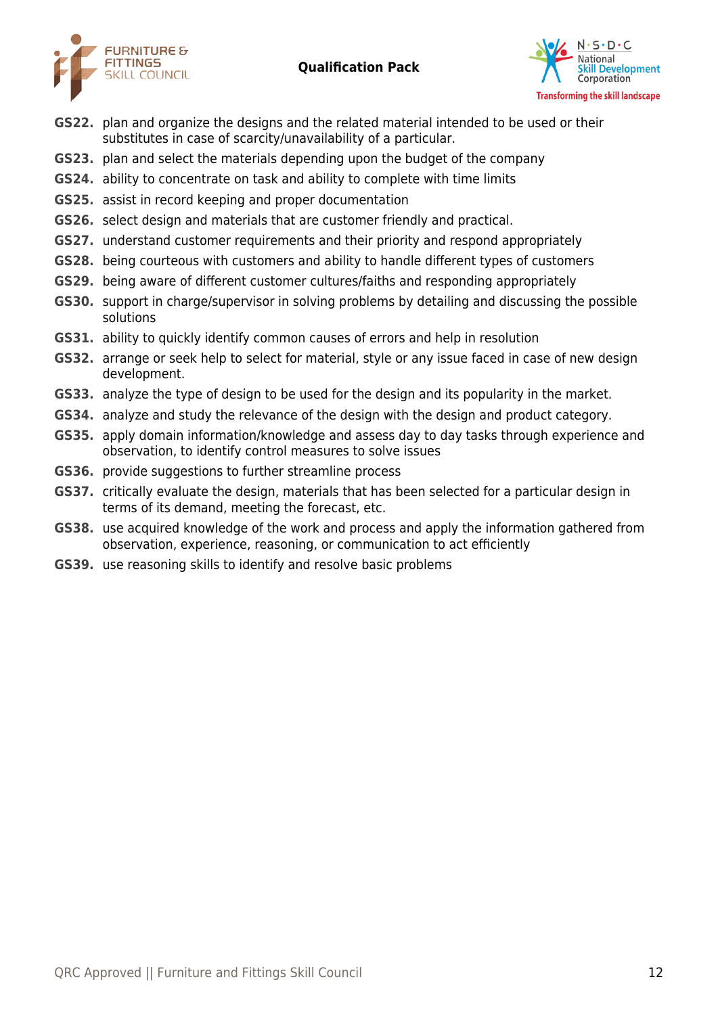



- **GS22.** plan and organize the designs and the related material intended to be used or their substitutes in case of scarcity/unavailability of a particular.
- **GS23.** plan and select the materials depending upon the budget of the company
- **GS24.** ability to concentrate on task and ability to complete with time limits
- **GS25.** assist in record keeping and proper documentation
- **GS26.** select design and materials that are customer friendly and practical.
- **GS27.** understand customer requirements and their priority and respond appropriately
- **GS28.** being courteous with customers and ability to handle different types of customers
- **GS29.** being aware of different customer cultures/faiths and responding appropriately
- **GS30.** support in charge/supervisor in solving problems by detailing and discussing the possible solutions
- **GS31.** ability to quickly identify common causes of errors and help in resolution
- **GS32.** arrange or seek help to select for material, style or any issue faced in case of new design development.
- **GS33.** analyze the type of design to be used for the design and its popularity in the market.
- **GS34.** analyze and study the relevance of the design with the design and product category.
- **GS35.** apply domain information/knowledge and assess day to day tasks through experience and observation, to identify control measures to solve issues
- **GS36.** provide suggestions to further streamline process
- **GS37.** critically evaluate the design, materials that has been selected for a particular design in terms of its demand, meeting the forecast, etc.
- **GS38.** use acquired knowledge of the work and process and apply the information gathered from observation, experience, reasoning, or communication to act efficiently
- **GS39.** use reasoning skills to identify and resolve basic problems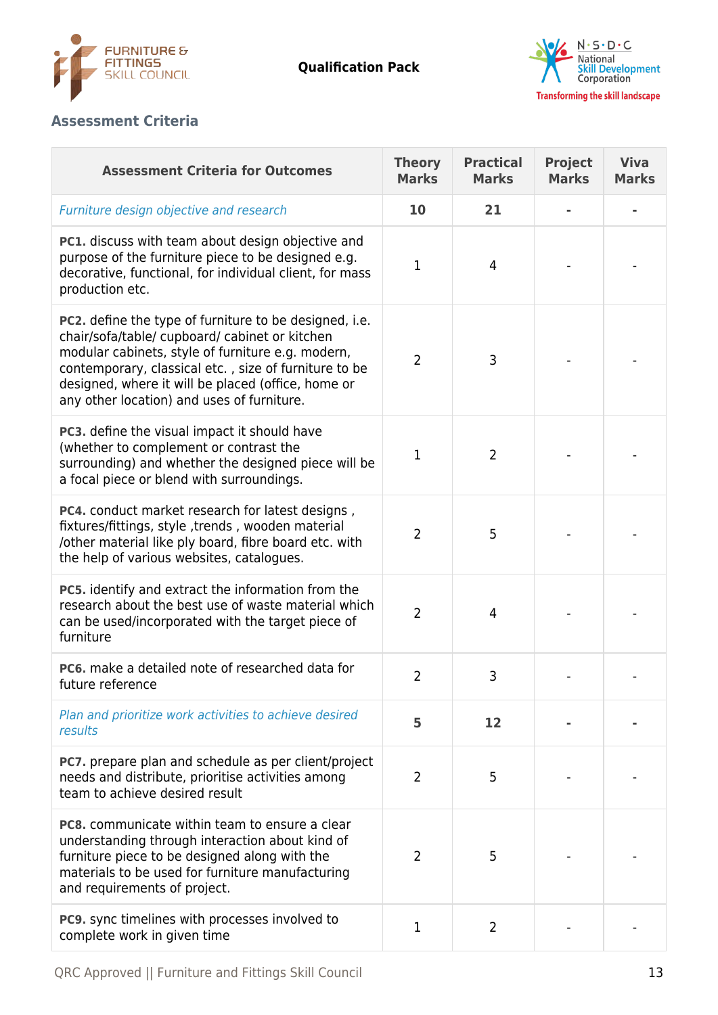



# **Assessment Criteria**

| <b>Assessment Criteria for Outcomes</b>                                                                                                                                                                                                                                                                                           | <b>Theory</b><br><b>Marks</b> | <b>Practical</b><br><b>Marks</b> | <b>Project</b><br><b>Marks</b> | <b>Viva</b><br><b>Marks</b> |
|-----------------------------------------------------------------------------------------------------------------------------------------------------------------------------------------------------------------------------------------------------------------------------------------------------------------------------------|-------------------------------|----------------------------------|--------------------------------|-----------------------------|
| Furniture design objective and research                                                                                                                                                                                                                                                                                           | 10                            | 21                               |                                |                             |
| PC1. discuss with team about design objective and<br>purpose of the furniture piece to be designed e.g.<br>decorative, functional, for individual client, for mass<br>production etc.                                                                                                                                             | 1                             | 4                                |                                |                             |
| <b>PC2.</b> define the type of furniture to be designed, i.e.<br>chair/sofa/table/ cupboard/ cabinet or kitchen<br>modular cabinets, style of furniture e.g. modern,<br>contemporary, classical etc., size of furniture to be<br>designed, where it will be placed (office, home or<br>any other location) and uses of furniture. | $\overline{2}$                | 3                                |                                |                             |
| PC3. define the visual impact it should have<br>(whether to complement or contrast the<br>surrounding) and whether the designed piece will be<br>a focal piece or blend with surroundings.                                                                                                                                        | 1                             | $\overline{2}$                   |                                |                             |
| PC4. conduct market research for latest designs,<br>fixtures/fittings, style, trends, wooden material<br>/other material like ply board, fibre board etc. with<br>the help of various websites, catalogues.                                                                                                                       | $\overline{2}$                | 5                                |                                |                             |
| PC5. identify and extract the information from the<br>research about the best use of waste material which<br>can be used/incorporated with the target piece of<br>furniture                                                                                                                                                       | $\overline{2}$                | 4                                |                                |                             |
| PC6. make a detailed note of researched data for<br>future reference                                                                                                                                                                                                                                                              | 2                             | 3                                |                                |                             |
| Plan and prioritize work activities to achieve desired<br>results                                                                                                                                                                                                                                                                 | 5                             | 12                               |                                |                             |
| <b>PC7.</b> prepare plan and schedule as per client/project<br>needs and distribute, prioritise activities among<br>team to achieve desired result                                                                                                                                                                                | $\overline{2}$                | 5                                |                                |                             |
| <b>PC8.</b> communicate within team to ensure a clear<br>understanding through interaction about kind of<br>furniture piece to be designed along with the<br>materials to be used for furniture manufacturing<br>and requirements of project.                                                                                     | $\overline{2}$                | 5                                |                                |                             |
| <b>PC9.</b> sync timelines with processes involved to<br>complete work in given time                                                                                                                                                                                                                                              | 1                             | 2                                |                                |                             |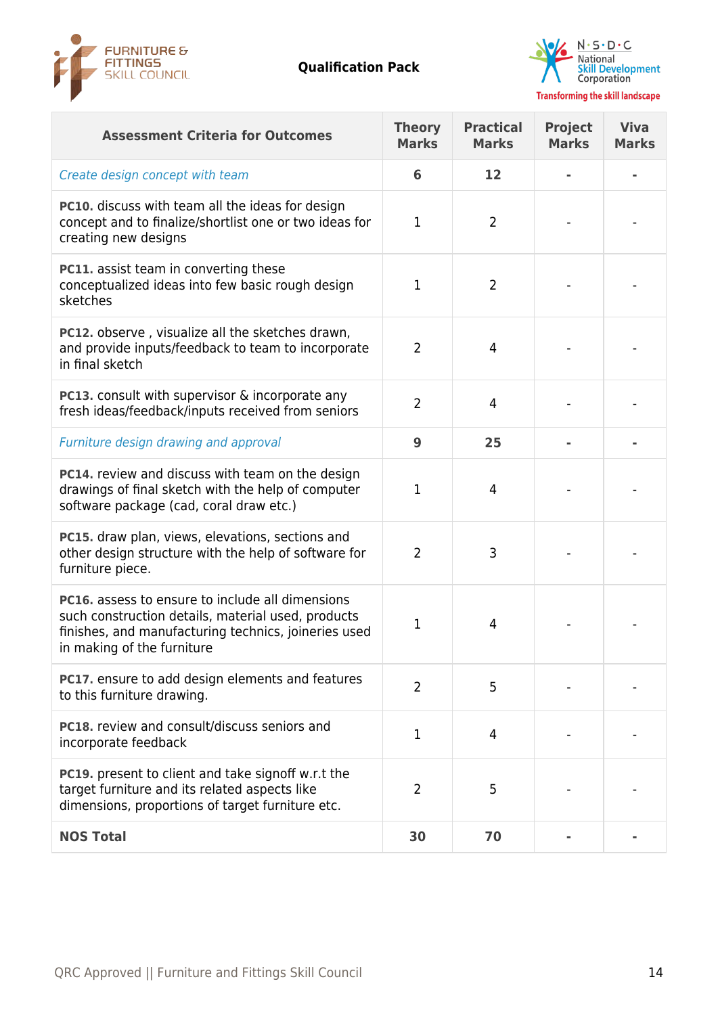



| <b>Assessment Criteria for Outcomes</b>                                                                                                                                                             | <b>Theory</b><br><b>Marks</b> | <b>Practical</b><br><b>Marks</b> | <b>Project</b><br><b>Marks</b> | <b>Viva</b><br><b>Marks</b> |
|-----------------------------------------------------------------------------------------------------------------------------------------------------------------------------------------------------|-------------------------------|----------------------------------|--------------------------------|-----------------------------|
| Create design concept with team                                                                                                                                                                     | 6                             | 12                               |                                |                             |
| <b>PC10.</b> discuss with team all the ideas for design<br>concept and to finalize/shortlist one or two ideas for<br>creating new designs                                                           | $\mathbf 1$                   | $\overline{2}$                   |                                |                             |
| PC11. assist team in converting these<br>conceptualized ideas into few basic rough design<br>sketches                                                                                               | 1                             | $\overline{2}$                   |                                |                             |
| PC12. observe, visualize all the sketches drawn,<br>and provide inputs/feedback to team to incorporate<br>in final sketch                                                                           | $\overline{2}$                | 4                                |                                |                             |
| PC13. consult with supervisor & incorporate any<br>fresh ideas/feedback/inputs received from seniors                                                                                                | $\overline{2}$                | 4                                |                                |                             |
| Furniture design drawing and approval                                                                                                                                                               | 9                             | 25                               |                                |                             |
| <b>PC14.</b> review and discuss with team on the design<br>drawings of final sketch with the help of computer<br>software package (cad, coral draw etc.)                                            | 1                             | 4                                |                                |                             |
| PC15. draw plan, views, elevations, sections and<br>other design structure with the help of software for<br>furniture piece.                                                                        | $\overline{2}$                | 3                                |                                |                             |
| <b>PC16.</b> assess to ensure to include all dimensions<br>such construction details, material used, products<br>finishes, and manufacturing technics, joineries used<br>in making of the furniture | 1                             | 4                                |                                |                             |
| PC17. ensure to add design elements and features<br>to this furniture drawing.                                                                                                                      | $\overline{2}$                | 5                                |                                |                             |
| <b>PC18.</b> review and consult/discuss seniors and<br>incorporate feedback                                                                                                                         | $\mathbf 1$                   | 4                                |                                |                             |
| <b>PC19.</b> present to client and take signoff w.r.t the<br>target furniture and its related aspects like<br>dimensions, proportions of target furniture etc.                                      | 2                             | 5                                |                                |                             |
| <b>NOS Total</b>                                                                                                                                                                                    | 30                            | 70                               |                                |                             |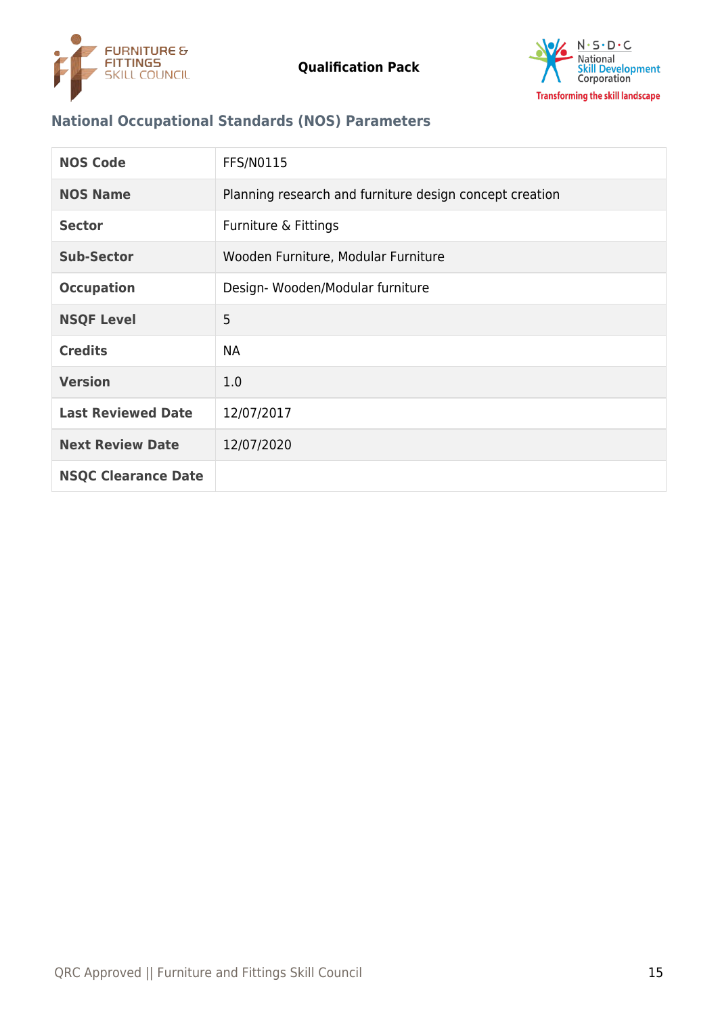



# **National Occupational Standards (NOS) Parameters**

| <b>NOS Code</b>            | <b>FFS/N0115</b>                                        |
|----------------------------|---------------------------------------------------------|
| <b>NOS Name</b>            | Planning research and furniture design concept creation |
| <b>Sector</b>              | Furniture & Fittings                                    |
| <b>Sub-Sector</b>          | Wooden Furniture, Modular Furniture                     |
| <b>Occupation</b>          | Design-Wooden/Modular furniture                         |
| <b>NSQF Level</b>          | 5                                                       |
| <b>Credits</b>             | <b>NA</b>                                               |
| <b>Version</b>             | 1.0                                                     |
| <b>Last Reviewed Date</b>  | 12/07/2017                                              |
| <b>Next Review Date</b>    | 12/07/2020                                              |
| <b>NSQC Clearance Date</b> |                                                         |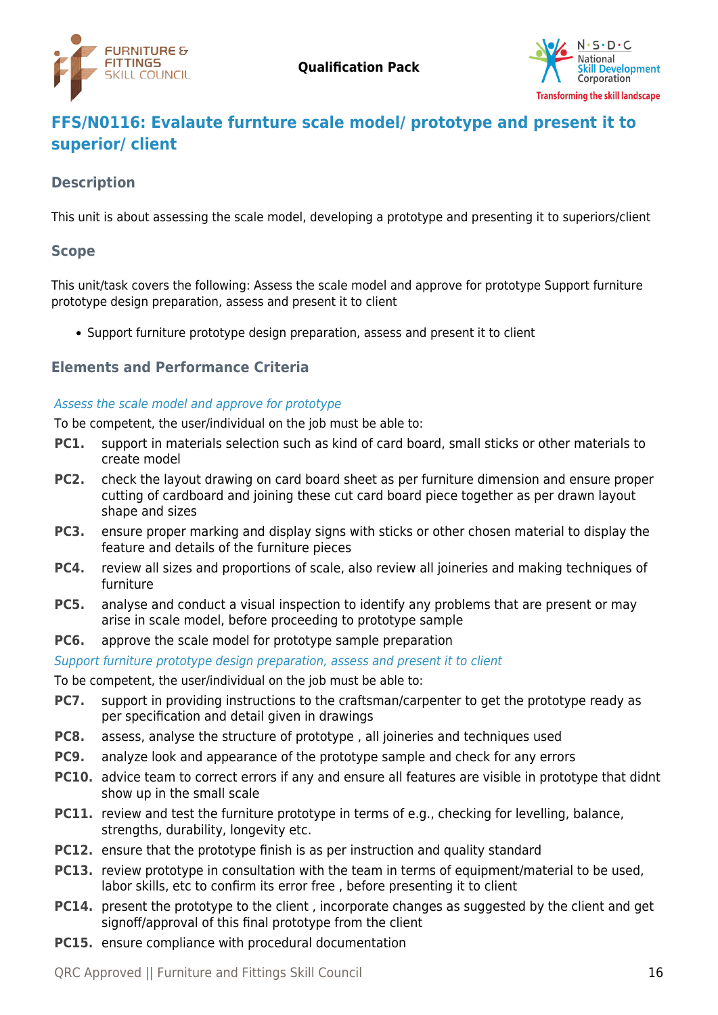



# <span id="page-15-0"></span>**FFS/N0116: Evalaute furnture scale model/ prototype and present it to superior/ client**

# **Description**

This unit is about assessing the scale model, developing a prototype and presenting it to superiors/client

#### **Scope**

This unit/task covers the following: Assess the scale model and approve for prototype Support furniture prototype design preparation, assess and present it to client

• Support furniture prototype design preparation, assess and present it to client

## **Elements and Performance Criteria**

#### Assess the scale model and approve for prototype

To be competent, the user/individual on the job must be able to:

- **PC1.** support in materials selection such as kind of card board, small sticks or other materials to create model
- **PC2.** check the layout drawing on card board sheet as per furniture dimension and ensure proper cutting of cardboard and joining these cut card board piece together as per drawn layout shape and sizes
- **PC3.** ensure proper marking and display signs with sticks or other chosen material to display the feature and details of the furniture pieces
- **PC4.** review all sizes and proportions of scale, also review all joineries and making techniques of furniture
- **PC5.** analyse and conduct a visual inspection to identify any problems that are present or may arise in scale model, before proceeding to prototype sample
- **PC6.** approve the scale model for prototype sample preparation

Support furniture prototype design preparation, assess and present it to client

To be competent, the user/individual on the job must be able to:

- **PC7.** support in providing instructions to the craftsman/carpenter to get the prototype ready as per specification and detail given in drawings
- **PC8.** assess, analyse the structure of prototype , all joineries and techniques used
- **PC9.** analyze look and appearance of the prototype sample and check for any errors
- **PC10.** advice team to correct errors if any and ensure all features are visible in prototype that didnt show up in the small scale
- **PC11.** review and test the furniture prototype in terms of e.g., checking for levelling, balance, strengths, durability, longevity etc.
- **PC12.** ensure that the prototype finish is as per instruction and quality standard
- **PC13.** review prototype in consultation with the team in terms of equipment/material to be used, labor skills, etc to confirm its error free , before presenting it to client
- **PC14.** present the prototype to the client, incorporate changes as suggested by the client and get signoff/approval of this final prototype from the client
- **PC15.** ensure compliance with procedural documentation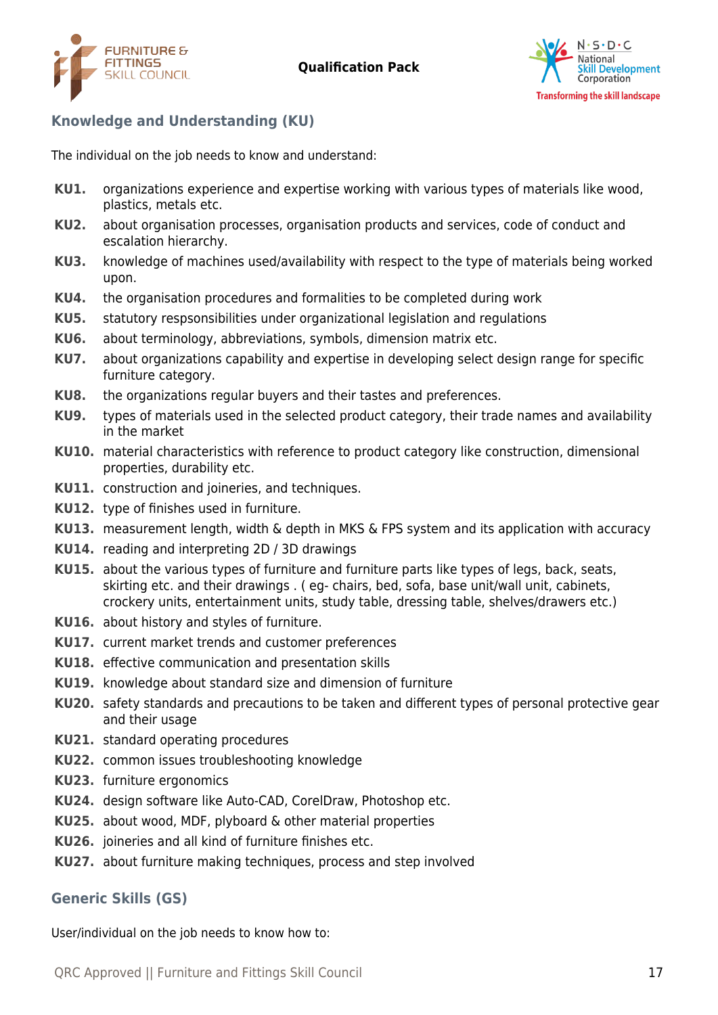



# **Knowledge and Understanding (KU)**

The individual on the job needs to know and understand:

- **KU1.** organizations experience and expertise working with various types of materials like wood, plastics, metals etc.
- **KU2.** about organisation processes, organisation products and services, code of conduct and escalation hierarchy.
- **KU3.** knowledge of machines used/availability with respect to the type of materials being worked upon.
- **KU4.** the organisation procedures and formalities to be completed during work
- **KU5.** statutory respsonsibilities under organizational legislation and regulations
- **KU6.** about terminology, abbreviations, symbols, dimension matrix etc.
- **KU7.** about organizations capability and expertise in developing select design range for specific furniture category.
- **KU8.** the organizations regular buyers and their tastes and preferences.
- **KU9.** types of materials used in the selected product category, their trade names and availability in the market
- **KU10.** material characteristics with reference to product category like construction, dimensional properties, durability etc.
- **KU11.** construction and joineries, and techniques.
- **KU12.** type of finishes used in furniture.
- **KU13.** measurement length, width & depth in MKS & FPS system and its application with accuracy
- **KU14.** reading and interpreting 2D / 3D drawings
- **KU15.** about the various types of furniture and furniture parts like types of legs, back, seats, skirting etc. and their drawings . ( eg- chairs, bed, sofa, base unit/wall unit, cabinets, crockery units, entertainment units, study table, dressing table, shelves/drawers etc.)
- **KU16.** about history and styles of furniture.
- **KU17.** current market trends and customer preferences
- **KU18.** effective communication and presentation skills
- **KU19.** knowledge about standard size and dimension of furniture
- **KU20.** safety standards and precautions to be taken and different types of personal protective gear and their usage
- **KU21.** standard operating procedures
- **KU22.** common issues troubleshooting knowledge
- **KU23.** furniture ergonomics
- **KU24.** design software like Auto-CAD, CorelDraw, Photoshop etc.
- **KU25.** about wood, MDF, plyboard & other material properties
- **KU26.** joineries and all kind of furniture finishes etc.
- **KU27.** about furniture making techniques, process and step involved

## **Generic Skills (GS)**

User/individual on the job needs to know how to: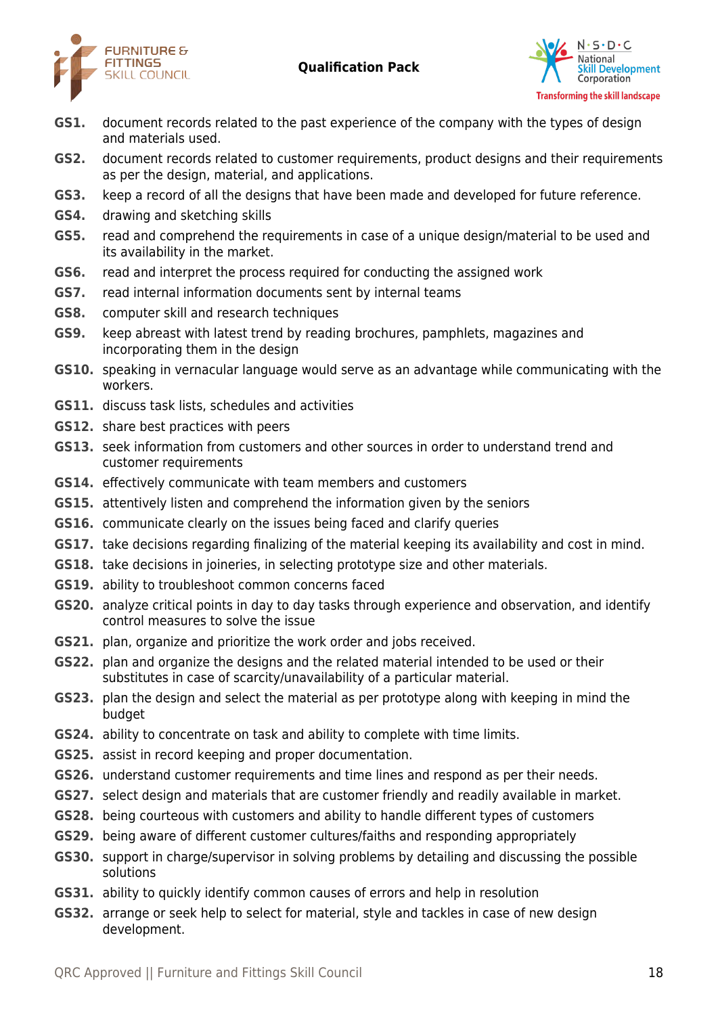



- **GS1.** document records related to the past experience of the company with the types of design and materials used.
- **GS2.** document records related to customer requirements, product designs and their requirements as per the design, material, and applications.
- **GS3.** keep a record of all the designs that have been made and developed for future reference.
- **GS4.** drawing and sketching skills
- **GS5.** read and comprehend the requirements in case of a unique design/material to be used and its availability in the market.
- **GS6.** read and interpret the process required for conducting the assigned work
- **GS7.** read internal information documents sent by internal teams
- **GS8.** computer skill and research techniques
- **GS9.** keep abreast with latest trend by reading brochures, pamphlets, magazines and incorporating them in the design
- **GS10.** speaking in vernacular language would serve as an advantage while communicating with the workers.
- **GS11.** discuss task lists, schedules and activities
- **GS12.** share best practices with peers
- **GS13.** seek information from customers and other sources in order to understand trend and customer requirements
- **GS14.** effectively communicate with team members and customers
- **GS15.** attentively listen and comprehend the information given by the seniors
- **GS16.** communicate clearly on the issues being faced and clarify queries
- **GS17.** take decisions regarding finalizing of the material keeping its availability and cost in mind.
- **GS18.** take decisions in joineries, in selecting prototype size and other materials.
- **GS19.** ability to troubleshoot common concerns faced
- **GS20.** analyze critical points in day to day tasks through experience and observation, and identify control measures to solve the issue
- **GS21.** plan, organize and prioritize the work order and jobs received.
- **GS22.** plan and organize the designs and the related material intended to be used or their substitutes in case of scarcity/unavailability of a particular material.
- **GS23.** plan the design and select the material as per prototype along with keeping in mind the budget
- **GS24.** ability to concentrate on task and ability to complete with time limits.
- **GS25.** assist in record keeping and proper documentation.
- **GS26.** understand customer requirements and time lines and respond as per their needs.
- **GS27.** select design and materials that are customer friendly and readily available in market.
- **GS28.** being courteous with customers and ability to handle different types of customers
- **GS29.** being aware of different customer cultures/faiths and responding appropriately
- **GS30.** support in charge/supervisor in solving problems by detailing and discussing the possible solutions
- **GS31.** ability to quickly identify common causes of errors and help in resolution
- **GS32.** arrange or seek help to select for material, style and tackles in case of new design development.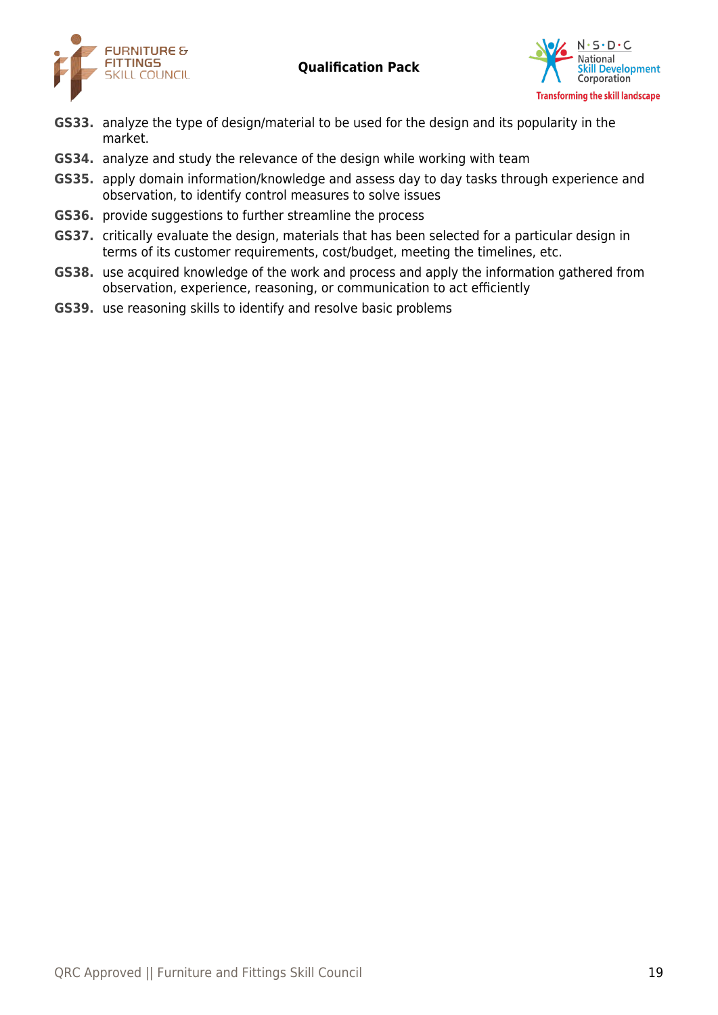



- **GS33.** analyze the type of design/material to be used for the design and its popularity in the market.
- **GS34.** analyze and study the relevance of the design while working with team
- **GS35.** apply domain information/knowledge and assess day to day tasks through experience and observation, to identify control measures to solve issues
- **GS36.** provide suggestions to further streamline the process
- **GS37.** critically evaluate the design, materials that has been selected for a particular design in terms of its customer requirements, cost/budget, meeting the timelines, etc.
- **GS38.** use acquired knowledge of the work and process and apply the information gathered from observation, experience, reasoning, or communication to act efficiently
- **GS39.** use reasoning skills to identify and resolve basic problems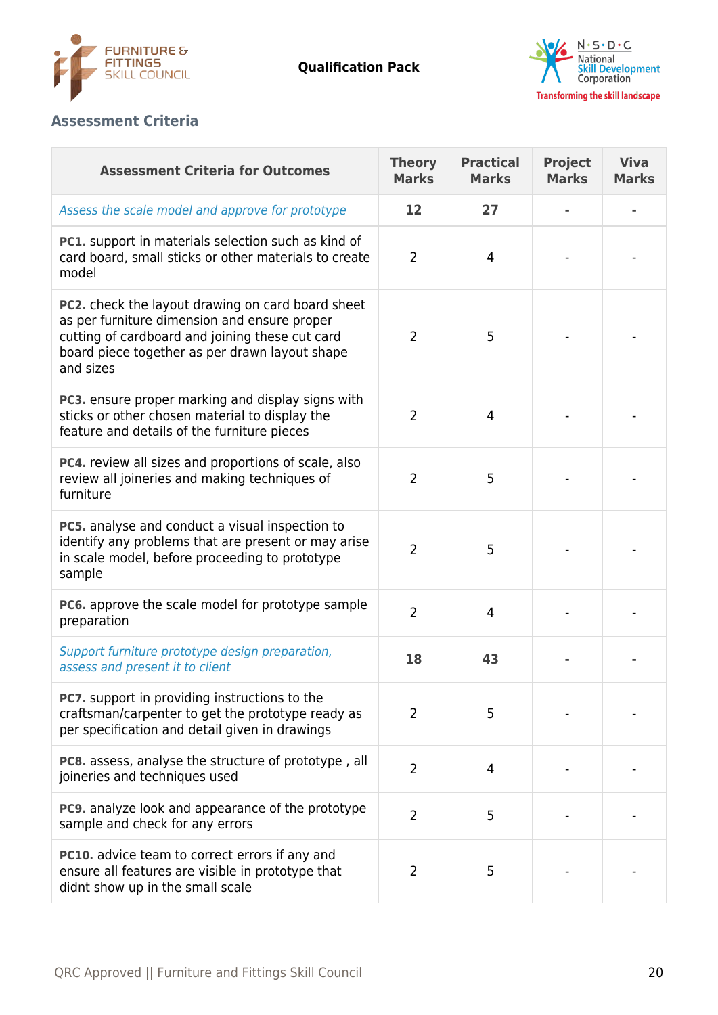



# **Assessment Criteria**

| <b>Assessment Criteria for Outcomes</b>                                                                                                                                                                                    | <b>Theory</b><br><b>Marks</b> | <b>Practical</b><br><b>Marks</b> | <b>Project</b><br><b>Marks</b> | <b>Viva</b><br><b>Marks</b> |
|----------------------------------------------------------------------------------------------------------------------------------------------------------------------------------------------------------------------------|-------------------------------|----------------------------------|--------------------------------|-----------------------------|
| Assess the scale model and approve for prototype                                                                                                                                                                           | 12                            | 27                               |                                |                             |
| PC1. support in materials selection such as kind of<br>card board, small sticks or other materials to create<br>model                                                                                                      | $\overline{2}$                | $\overline{4}$                   |                                |                             |
| <b>PC2.</b> check the layout drawing on card board sheet<br>as per furniture dimension and ensure proper<br>cutting of cardboard and joining these cut card<br>board piece together as per drawn layout shape<br>and sizes | $\overline{2}$                | 5                                |                                |                             |
| PC3. ensure proper marking and display signs with<br>sticks or other chosen material to display the<br>feature and details of the furniture pieces                                                                         | $\overline{2}$                | 4                                |                                |                             |
| PC4. review all sizes and proportions of scale, also<br>review all joineries and making techniques of<br>furniture                                                                                                         | $\overline{2}$                | 5                                |                                |                             |
| PC5. analyse and conduct a visual inspection to<br>identify any problems that are present or may arise<br>in scale model, before proceeding to prototype<br>sample                                                         | $\overline{2}$                | 5                                |                                |                             |
| PC6. approve the scale model for prototype sample<br>preparation                                                                                                                                                           | $\overline{2}$                | 4                                |                                |                             |
| Support furniture prototype design preparation,<br>assess and present it to client                                                                                                                                         | 18                            | 43                               |                                |                             |
| PC7. support in providing instructions to the<br>craftsman/carpenter to get the prototype ready as<br>per specification and detail given in drawings                                                                       | $\overline{2}$                | 5                                |                                |                             |
| PC8. assess, analyse the structure of prototype, all<br>joineries and techniques used                                                                                                                                      | $\overline{2}$                | 4                                |                                |                             |
| PC9. analyze look and appearance of the prototype<br>sample and check for any errors                                                                                                                                       | $\overline{2}$                | 5                                |                                |                             |
| <b>PC10.</b> advice team to correct errors if any and<br>ensure all features are visible in prototype that<br>didnt show up in the small scale                                                                             | $\overline{2}$                | 5                                |                                |                             |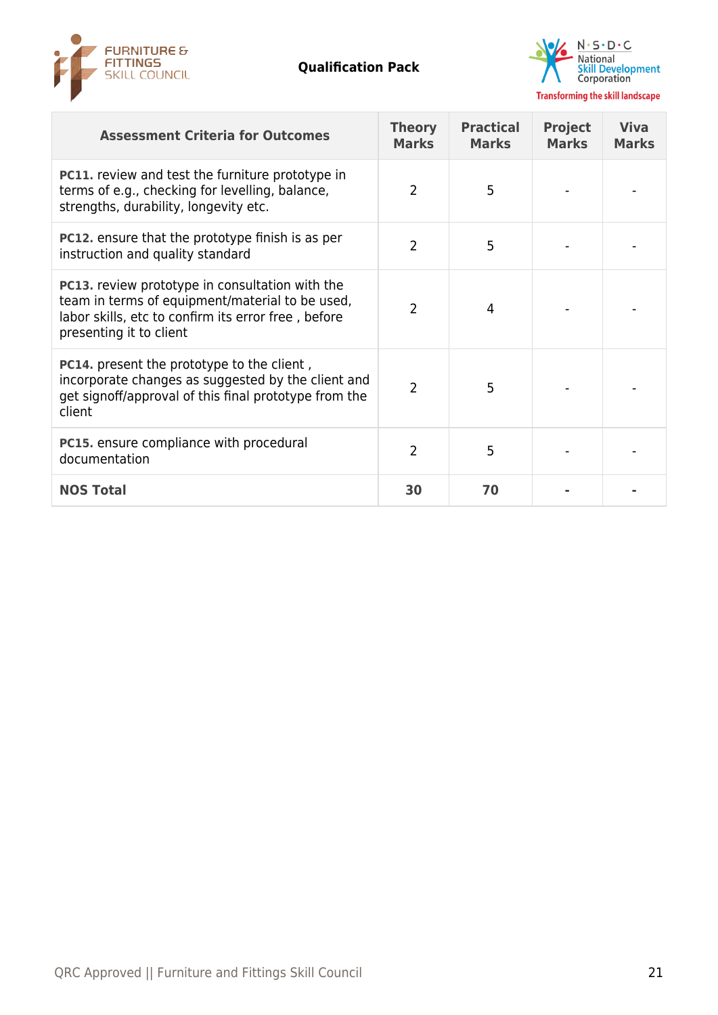



| <b>Assessment Criteria for Outcomes</b>                                                                                                                                                     | <b>Theory</b><br><b>Marks</b> | <b>Practical</b><br><b>Marks</b> | <b>Project</b><br><b>Marks</b> | <b>Viva</b><br><b>Marks</b> |
|---------------------------------------------------------------------------------------------------------------------------------------------------------------------------------------------|-------------------------------|----------------------------------|--------------------------------|-----------------------------|
| <b>PC11.</b> review and test the furniture prototype in<br>terms of e.g., checking for levelling, balance,<br>strengths, durability, longevity etc.                                         | $\overline{2}$                | 5                                |                                |                             |
| PC12. ensure that the prototype finish is as per<br>instruction and quality standard                                                                                                        | $\overline{2}$                | 5                                |                                |                             |
| <b>PC13.</b> review prototype in consultation with the<br>team in terms of equipment/material to be used,<br>labor skills, etc to confirm its error free, before<br>presenting it to client | $\mathcal{P}$                 | 4                                |                                |                             |
| <b>PC14.</b> present the prototype to the client,<br>incorporate changes as suggested by the client and<br>get signoff/approval of this final prototype from the<br>client                  | $\mathcal{P}$                 | 5                                |                                |                             |
| <b>PC15.</b> ensure compliance with procedural<br>documentation                                                                                                                             | 2                             | 5                                |                                |                             |
| <b>NOS Total</b>                                                                                                                                                                            | 30                            | 70                               |                                |                             |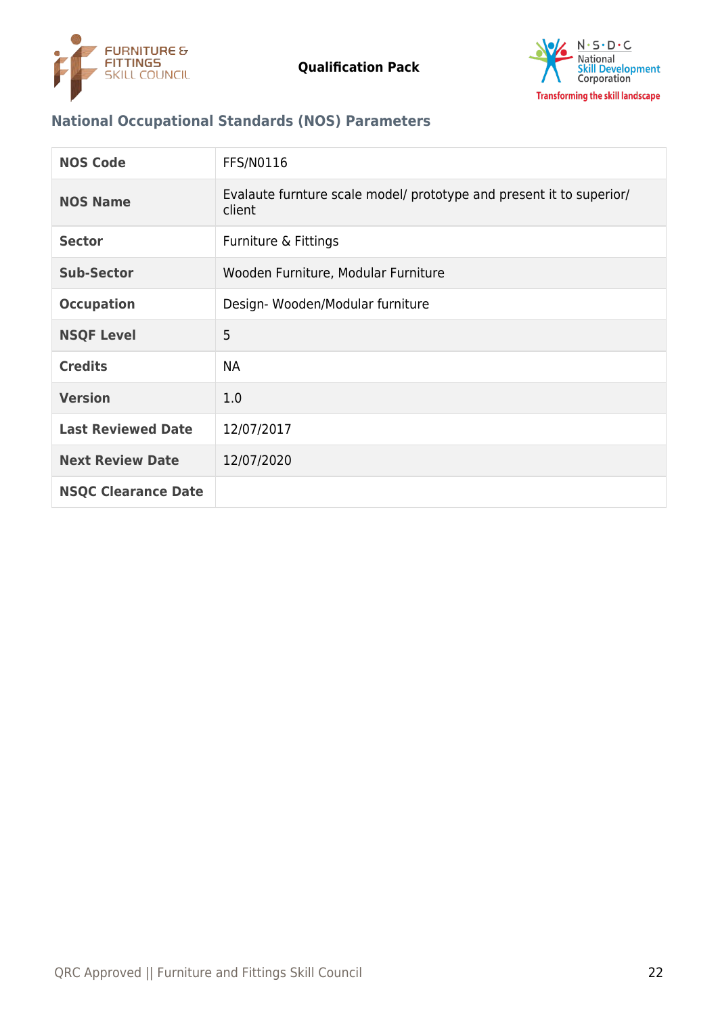



# **National Occupational Standards (NOS) Parameters**

| <b>NOS Code</b>            | <b>FFS/N0116</b>                                                               |
|----------------------------|--------------------------------------------------------------------------------|
| <b>NOS Name</b>            | Evalaute furnture scale model/ prototype and present it to superior/<br>client |
| <b>Sector</b>              | Furniture & Fittings                                                           |
| <b>Sub-Sector</b>          | Wooden Furniture, Modular Furniture                                            |
| <b>Occupation</b>          | Design-Wooden/Modular furniture                                                |
| <b>NSQF Level</b>          | 5                                                                              |
| <b>Credits</b>             | <b>NA</b>                                                                      |
| <b>Version</b>             | 1.0                                                                            |
| <b>Last Reviewed Date</b>  | 12/07/2017                                                                     |
| <b>Next Review Date</b>    | 12/07/2020                                                                     |
| <b>NSQC Clearance Date</b> |                                                                                |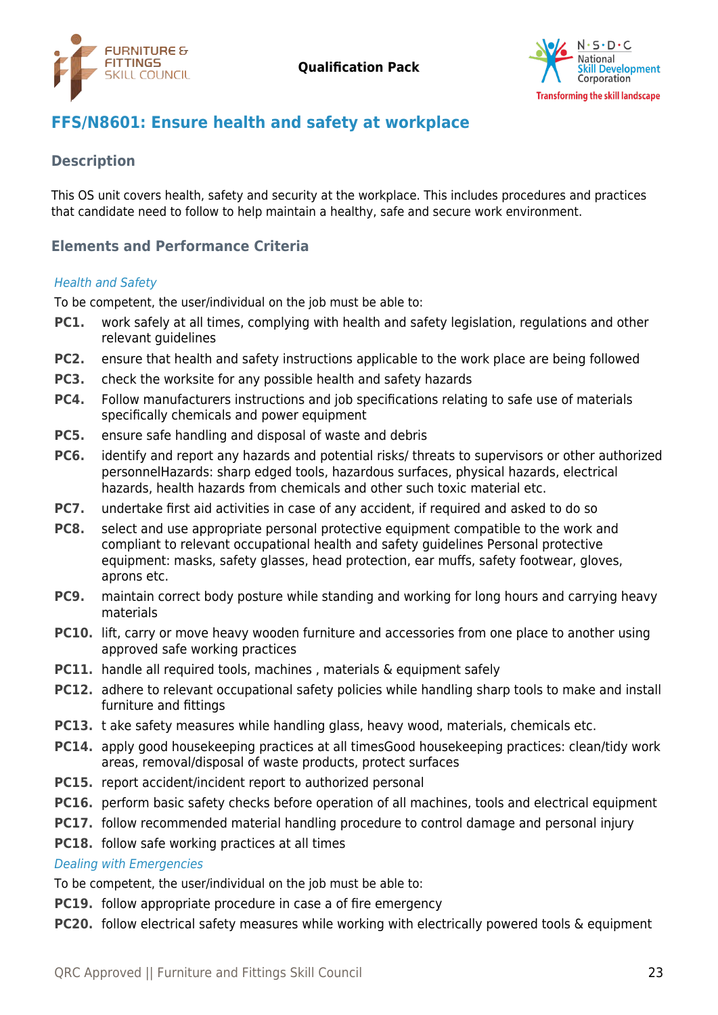



# <span id="page-22-0"></span>**FFS/N8601: Ensure health and safety at workplace**

## **Description**

This OS unit covers health, safety and security at the workplace. This includes procedures and practices that candidate need to follow to help maintain a healthy, safe and secure work environment.

# **Elements and Performance Criteria**

#### Health and Safety

To be competent, the user/individual on the job must be able to:

- **PC1.** work safely at all times, complying with health and safety legislation, regulations and other relevant guidelines
- **PC2.** ensure that health and safety instructions applicable to the work place are being followed
- **PC3.** check the worksite for any possible health and safety hazards
- **PC4.** Follow manufacturers instructions and job specifications relating to safe use of materials specifically chemicals and power equipment
- **PC5.** ensure safe handling and disposal of waste and debris
- **PC6.** identify and report any hazards and potential risks/ threats to supervisors or other authorized personnelHazards: sharp edged tools, hazardous surfaces, physical hazards, electrical hazards, health hazards from chemicals and other such toxic material etc.
- **PC7.** undertake first aid activities in case of any accident, if required and asked to do so
- **PC8.** select and use appropriate personal protective equipment compatible to the work and compliant to relevant occupational health and safety guidelines Personal protective equipment: masks, safety glasses, head protection, ear muffs, safety footwear, gloves, aprons etc.
- **PC9.** maintain correct body posture while standing and working for long hours and carrying heavy materials
- **PC10.** lift, carry or move heavy wooden furniture and accessories from one place to another using approved safe working practices
- **PC11.** handle all required tools, machines, materials & equipment safely
- **PC12.** adhere to relevant occupational safety policies while handling sharp tools to make and install furniture and fittings
- **PC13.** t ake safety measures while handling glass, heavy wood, materials, chemicals etc.
- **PC14.** apply good housekeeping practices at all timesGood housekeeping practices: clean/tidy work areas, removal/disposal of waste products, protect surfaces
- **PC15.** report accident/incident report to authorized personal
- **PC16.** perform basic safety checks before operation of all machines, tools and electrical equipment
- **PC17.** follow recommended material handling procedure to control damage and personal injury

#### **PC18.** follow safe working practices at all times

#### Dealing with Emergencies

To be competent, the user/individual on the job must be able to:

- **PC19.** follow appropriate procedure in case a of fire emergency
- **PC20.** follow electrical safety measures while working with electrically powered tools & equipment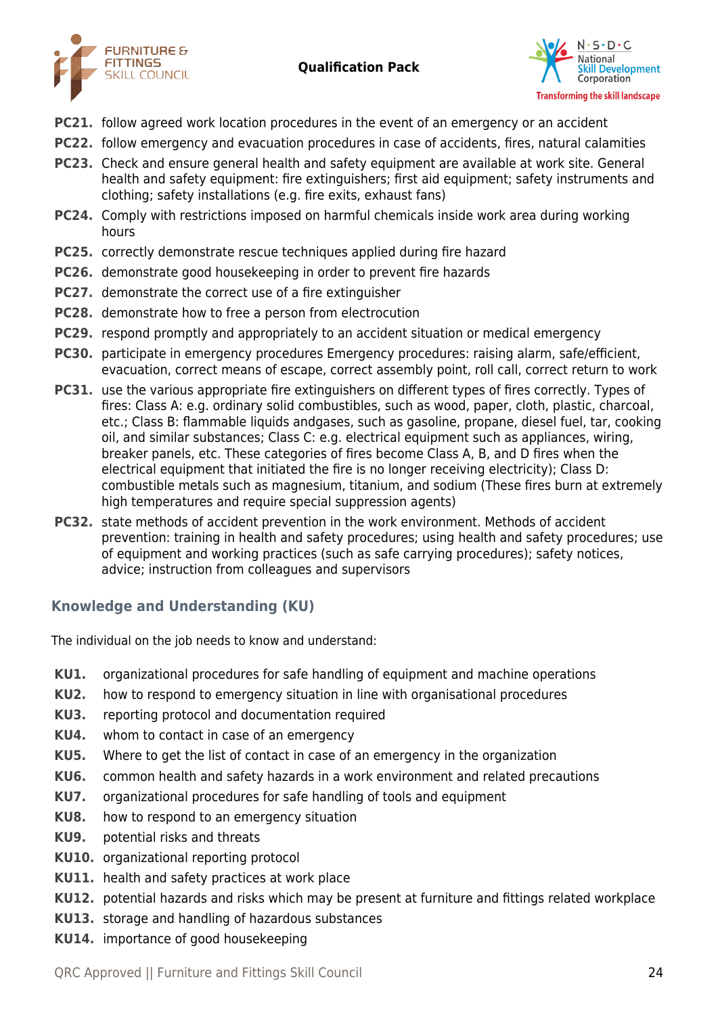



- **PC21.** follow agreed work location procedures in the event of an emergency or an accident
- **PC22.** follow emergency and evacuation procedures in case of accidents, fires, natural calamities
- **PC23.** Check and ensure general health and safety equipment are available at work site. General health and safety equipment: fire extinguishers; first aid equipment; safety instruments and clothing; safety installations (e.g. fire exits, exhaust fans)
- **PC24.** Comply with restrictions imposed on harmful chemicals inside work area during working hours
- **PC25.** correctly demonstrate rescue techniques applied during fire hazard
- **PC26.** demonstrate good housekeeping in order to prevent fire hazards
- **PC27.** demonstrate the correct use of a fire extinguisher
- **PC28.** demonstrate how to free a person from electrocution
- **PC29.** respond promptly and appropriately to an accident situation or medical emergency
- **PC30.** participate in emergency procedures Emergency procedures: raising alarm, safe/efficient, evacuation, correct means of escape, correct assembly point, roll call, correct return to work
- **PC31.** use the various appropriate fire extinguishers on different types of fires correctly. Types of fires: Class A: e.g. ordinary solid combustibles, such as wood, paper, cloth, plastic, charcoal, etc.; Class B: flammable liquids andgases, such as gasoline, propane, diesel fuel, tar, cooking oil, and similar substances; Class C: e.g. electrical equipment such as appliances, wiring, breaker panels, etc. These categories of fires become Class A, B, and D fires when the electrical equipment that initiated the fire is no longer receiving electricity); Class D: combustible metals such as magnesium, titanium, and sodium (These fires burn at extremely high temperatures and require special suppression agents)
- **PC32.** state methods of accident prevention in the work environment. Methods of accident prevention: training in health and safety procedures; using health and safety procedures; use of equipment and working practices (such as safe carrying procedures); safety notices, advice; instruction from colleagues and supervisors

# **Knowledge and Understanding (KU)**

The individual on the job needs to know and understand:

- **KU1.** organizational procedures for safe handling of equipment and machine operations
- **KU2.** how to respond to emergency situation in line with organisational procedures
- **KU3.** reporting protocol and documentation required
- **KU4.** whom to contact in case of an emergency
- **KU5.** Where to get the list of contact in case of an emergency in the organization
- **KU6.** common health and safety hazards in a work environment and related precautions
- **KU7.** organizational procedures for safe handling of tools and equipment
- **KU8.** how to respond to an emergency situation
- **KU9.** potential risks and threats
- **KU10.** organizational reporting protocol
- **KU11.** health and safety practices at work place
- **KU12.** potential hazards and risks which may be present at furniture and fittings related workplace
- **KU13.** storage and handling of hazardous substances
- **KU14.** importance of good housekeeping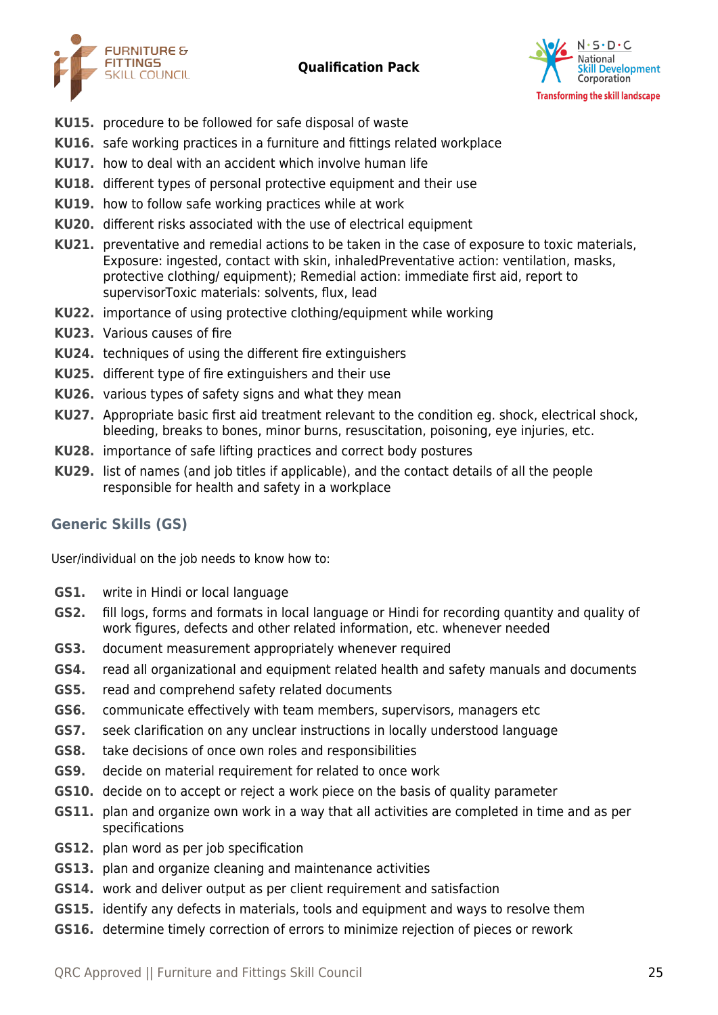



- **KU15.** procedure to be followed for safe disposal of waste
- **KU16.** safe working practices in a furniture and fittings related workplace
- **KU17.** how to deal with an accident which involve human life
- **KU18.** different types of personal protective equipment and their use
- **KU19.** how to follow safe working practices while at work
- **KU20.** different risks associated with the use of electrical equipment
- **KU21.** preventative and remedial actions to be taken in the case of exposure to toxic materials, Exposure: ingested, contact with skin, inhaledPreventative action: ventilation, masks, protective clothing/ equipment); Remedial action: immediate first aid, report to supervisorToxic materials: solvents, flux, lead
- **KU22.** importance of using protective clothing/equipment while working
- **KU23.** Various causes of fire
- **KU24.** techniques of using the different fire extinguishers
- **KU25.** different type of fire extinguishers and their use
- **KU26.** various types of safety signs and what they mean
- **KU27.** Appropriate basic first aid treatment relevant to the condition eg. shock, electrical shock, bleeding, breaks to bones, minor burns, resuscitation, poisoning, eye injuries, etc.
- **KU28.** importance of safe lifting practices and correct body postures
- **KU29.** list of names (and job titles if applicable), and the contact details of all the people responsible for health and safety in a workplace

# **Generic Skills (GS)**

User/individual on the job needs to know how to:

- **GS1.** write in Hindi or local language
- **GS2.** fill logs, forms and formats in local language or Hindi for recording quantity and quality of work figures, defects and other related information, etc. whenever needed
- **GS3.** document measurement appropriately whenever required
- **GS4.** read all organizational and equipment related health and safety manuals and documents
- **GS5.** read and comprehend safety related documents
- **GS6.** communicate effectively with team members, supervisors, managers etc
- **GS7.** seek clarification on any unclear instructions in locally understood language
- **GS8.** take decisions of once own roles and responsibilities
- **GS9.** decide on material requirement for related to once work
- **GS10.** decide on to accept or reject a work piece on the basis of quality parameter
- **GS11.** plan and organize own work in a way that all activities are completed in time and as per specifications
- **GS12.** plan word as per job specification
- **GS13.** plan and organize cleaning and maintenance activities
- **GS14.** work and deliver output as per client requirement and satisfaction
- **GS15.** identify any defects in materials, tools and equipment and ways to resolve them
- **GS16.** determine timely correction of errors to minimize rejection of pieces or rework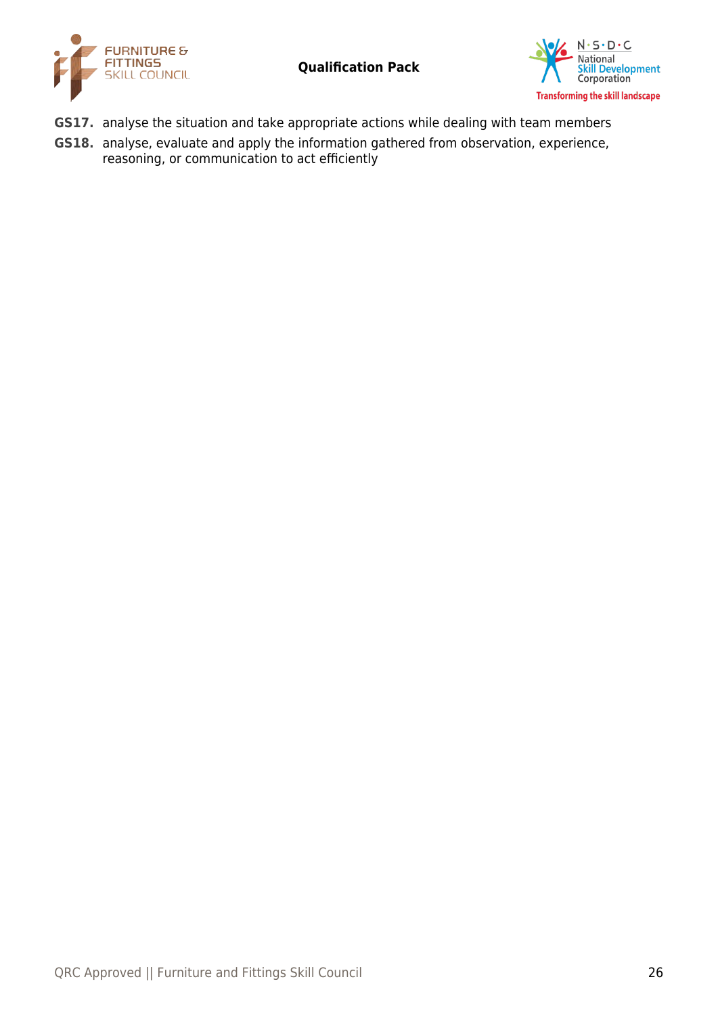



- **GS17.** analyse the situation and take appropriate actions while dealing with team members
- **GS18.** analyse, evaluate and apply the information gathered from observation, experience, reasoning, or communication to act efficiently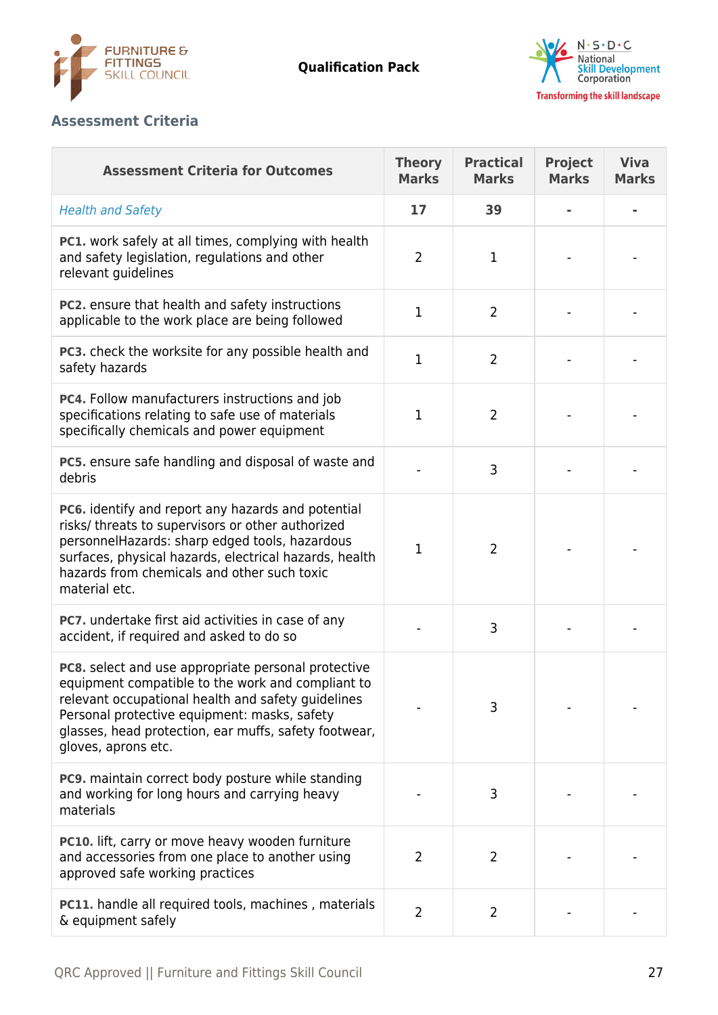



# **Assessment Criteria**

| <b>Assessment Criteria for Outcomes</b>                                                                                                                                                                                                                                                        | <b>Theory</b><br><b>Marks</b> | <b>Practical</b><br><b>Marks</b> | <b>Project</b><br><b>Marks</b> | <b>Viva</b><br><b>Marks</b> |
|------------------------------------------------------------------------------------------------------------------------------------------------------------------------------------------------------------------------------------------------------------------------------------------------|-------------------------------|----------------------------------|--------------------------------|-----------------------------|
| <b>Health and Safety</b>                                                                                                                                                                                                                                                                       | 17                            | 39                               |                                |                             |
| PC1. work safely at all times, complying with health<br>and safety legislation, regulations and other<br>relevant guidelines                                                                                                                                                                   | $\overline{2}$                | 1                                |                                |                             |
| PC2. ensure that health and safety instructions<br>applicable to the work place are being followed                                                                                                                                                                                             | $\mathbf{1}$                  | $\overline{2}$                   |                                |                             |
| PC3. check the worksite for any possible health and<br>safety hazards                                                                                                                                                                                                                          | $\mathbf{1}$                  | $\overline{2}$                   |                                |                             |
| PC4. Follow manufacturers instructions and job<br>specifications relating to safe use of materials<br>specifically chemicals and power equipment                                                                                                                                               | $\mathbf{1}$                  | $\overline{2}$                   |                                |                             |
| PC5. ensure safe handling and disposal of waste and<br>debris                                                                                                                                                                                                                                  |                               | 3                                |                                |                             |
| PC6. identify and report any hazards and potential<br>risks/ threats to supervisors or other authorized<br>personnelHazards: sharp edged tools, hazardous<br>surfaces, physical hazards, electrical hazards, health<br>hazards from chemicals and other such toxic<br>material etc.            | $\mathbf{1}$                  | 2                                |                                |                             |
| <b>PC7.</b> undertake first aid activities in case of any<br>accident, if required and asked to do so                                                                                                                                                                                          |                               | 3                                |                                |                             |
| PC8. select and use appropriate personal protective<br>equipment compatible to the work and compliant to<br>relevant occupational health and safety guidelines<br>Personal protective equipment: masks, safety<br>glasses, head protection, ear muffs, safety footwear,<br>gloves, aprons etc. |                               | 3                                |                                |                             |
| <b>PC9.</b> maintain correct body posture while standing<br>and working for long hours and carrying heavy<br>materials                                                                                                                                                                         |                               | 3                                |                                |                             |
| <b>PC10.</b> lift, carry or move heavy wooden furniture<br>and accessories from one place to another using<br>approved safe working practices                                                                                                                                                  | $\overline{2}$                | 2                                |                                |                             |
| <b>PC11.</b> handle all required tools, machines, materials<br>& equipment safely                                                                                                                                                                                                              | $\overline{2}$                | $\overline{2}$                   |                                |                             |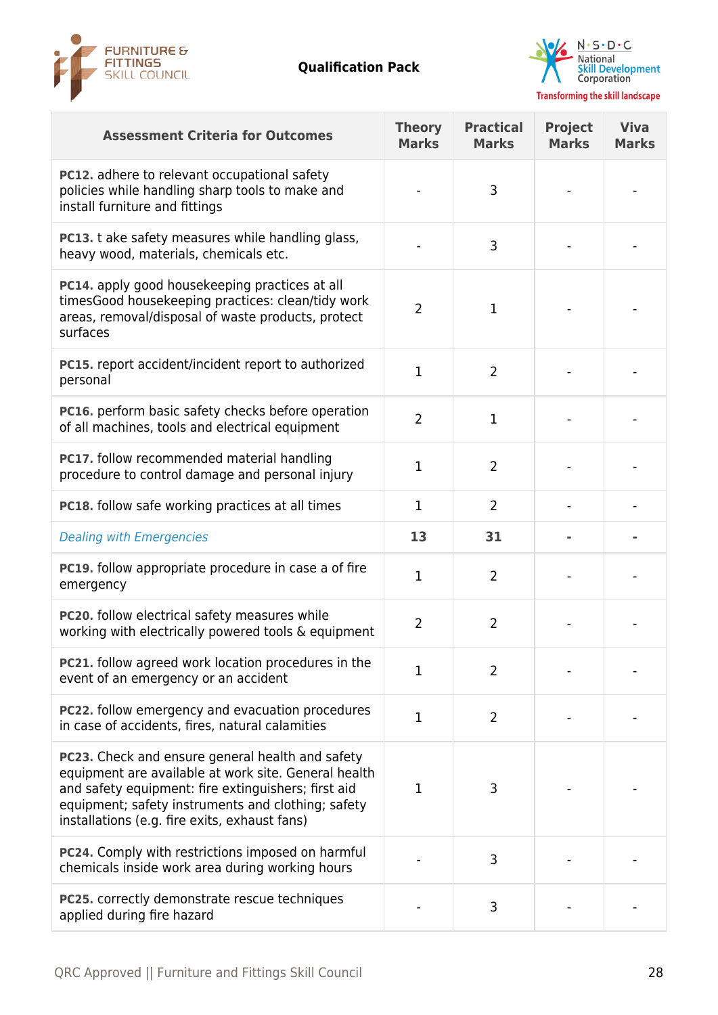



| <b>Assessment Criteria for Outcomes</b>                                                                                                                                                                                                                                | <b>Theory</b><br><b>Marks</b> | <b>Practical</b><br><b>Marks</b> | <b>Project</b><br><b>Marks</b> | <b>Viva</b><br><b>Marks</b> |
|------------------------------------------------------------------------------------------------------------------------------------------------------------------------------------------------------------------------------------------------------------------------|-------------------------------|----------------------------------|--------------------------------|-----------------------------|
| <b>PC12.</b> adhere to relevant occupational safety<br>policies while handling sharp tools to make and<br>install furniture and fittings                                                                                                                               |                               | 3                                |                                |                             |
| <b>PC13.</b> t ake safety measures while handling glass,<br>heavy wood, materials, chemicals etc.                                                                                                                                                                      |                               | 3                                |                                |                             |
| PC14. apply good housekeeping practices at all<br>timesGood housekeeping practices: clean/tidy work<br>areas, removal/disposal of waste products, protect<br>surfaces                                                                                                  | $\overline{2}$                | 1                                |                                |                             |
| <b>PC15.</b> report accident/incident report to authorized<br>personal                                                                                                                                                                                                 | $\mathbf{1}$                  | $\overline{2}$                   |                                |                             |
| PC16. perform basic safety checks before operation<br>of all machines, tools and electrical equipment                                                                                                                                                                  | $\overline{2}$                | $\mathbf{1}$                     |                                |                             |
| <b>PC17.</b> follow recommended material handling<br>procedure to control damage and personal injury                                                                                                                                                                   | 1                             | $\overline{2}$                   |                                |                             |
| PC18. follow safe working practices at all times                                                                                                                                                                                                                       | $\mathbf{1}$                  | 2                                |                                |                             |
| <b>Dealing with Emergencies</b>                                                                                                                                                                                                                                        | 13                            | 31                               |                                |                             |
| <b>PC19.</b> follow appropriate procedure in case a of fire<br>emergency                                                                                                                                                                                               | $\mathbf{1}$                  | $\overline{2}$                   |                                |                             |
| PC20. follow electrical safety measures while<br>working with electrically powered tools & equipment                                                                                                                                                                   | $\overline{2}$                | $\overline{2}$                   |                                |                             |
| PC21. follow agreed work location procedures in the<br>event of an emergency or an accident                                                                                                                                                                            | $\mathbf{1}$                  | $\overline{2}$                   |                                |                             |
| PC22. follow emergency and evacuation procedures<br>in case of accidents, fires, natural calamities                                                                                                                                                                    | $\mathbf{1}$                  | $\overline{2}$                   |                                |                             |
| PC23. Check and ensure general health and safety<br>equipment are available at work site. General health<br>and safety equipment: fire extinguishers; first aid<br>equipment; safety instruments and clothing; safety<br>installations (e.g. fire exits, exhaust fans) | $\mathbf{1}$                  | 3                                |                                |                             |
| PC24. Comply with restrictions imposed on harmful<br>chemicals inside work area during working hours                                                                                                                                                                   |                               | 3                                |                                |                             |
| PC25. correctly demonstrate rescue techniques<br>applied during fire hazard                                                                                                                                                                                            |                               | 3                                |                                |                             |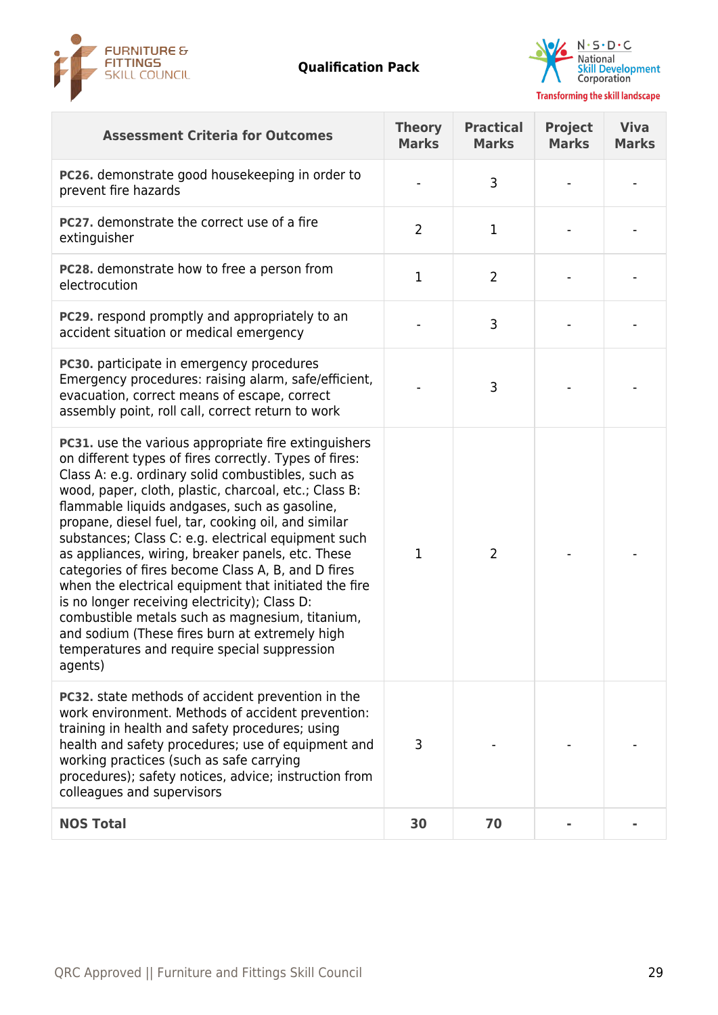



| <b>Assessment Criteria for Outcomes</b>                                                                                                                                                                                                                                                                                                                                                                                                                                                                                                                                                                                                                                                                                                                                           | <b>Theory</b><br><b>Marks</b> | <b>Practical</b><br><b>Marks</b> | <b>Project</b><br><b>Marks</b> | <b>Viva</b><br><b>Marks</b> |
|-----------------------------------------------------------------------------------------------------------------------------------------------------------------------------------------------------------------------------------------------------------------------------------------------------------------------------------------------------------------------------------------------------------------------------------------------------------------------------------------------------------------------------------------------------------------------------------------------------------------------------------------------------------------------------------------------------------------------------------------------------------------------------------|-------------------------------|----------------------------------|--------------------------------|-----------------------------|
| PC26. demonstrate good housekeeping in order to<br>prevent fire hazards                                                                                                                                                                                                                                                                                                                                                                                                                                                                                                                                                                                                                                                                                                           |                               | 3                                |                                |                             |
| PC27. demonstrate the correct use of a fire<br>extinguisher                                                                                                                                                                                                                                                                                                                                                                                                                                                                                                                                                                                                                                                                                                                       | $\overline{2}$                | 1                                |                                |                             |
| <b>PC28.</b> demonstrate how to free a person from<br>electrocution                                                                                                                                                                                                                                                                                                                                                                                                                                                                                                                                                                                                                                                                                                               | $\mathbf{1}$                  | $\overline{2}$                   |                                |                             |
| <b>PC29.</b> respond promptly and appropriately to an<br>accident situation or medical emergency                                                                                                                                                                                                                                                                                                                                                                                                                                                                                                                                                                                                                                                                                  |                               | 3                                |                                |                             |
| PC30. participate in emergency procedures<br>Emergency procedures: raising alarm, safe/efficient,<br>evacuation, correct means of escape, correct<br>assembly point, roll call, correct return to work                                                                                                                                                                                                                                                                                                                                                                                                                                                                                                                                                                            |                               | 3                                |                                |                             |
| PC31. use the various appropriate fire extinguishers<br>on different types of fires correctly. Types of fires:<br>Class A: e.g. ordinary solid combustibles, such as<br>wood, paper, cloth, plastic, charcoal, etc.; Class B:<br>flammable liquids andgases, such as gasoline,<br>propane, diesel fuel, tar, cooking oil, and similar<br>substances; Class C: e.g. electrical equipment such<br>as appliances, wiring, breaker panels, etc. These<br>categories of fires become Class A, B, and D fires<br>when the electrical equipment that initiated the fire<br>is no longer receiving electricity); Class D:<br>combustible metals such as magnesium, titanium,<br>and sodium (These fires burn at extremely high<br>temperatures and require special suppression<br>agents) | $\mathbf 1$                   | 2                                |                                |                             |
| PC32. state methods of accident prevention in the<br>work environment. Methods of accident prevention:<br>training in health and safety procedures; using<br>health and safety procedures; use of equipment and<br>working practices (such as safe carrying<br>procedures); safety notices, advice; instruction from<br>colleagues and supervisors                                                                                                                                                                                                                                                                                                                                                                                                                                | 3                             |                                  |                                |                             |
| <b>NOS Total</b>                                                                                                                                                                                                                                                                                                                                                                                                                                                                                                                                                                                                                                                                                                                                                                  | 30                            | 70                               |                                |                             |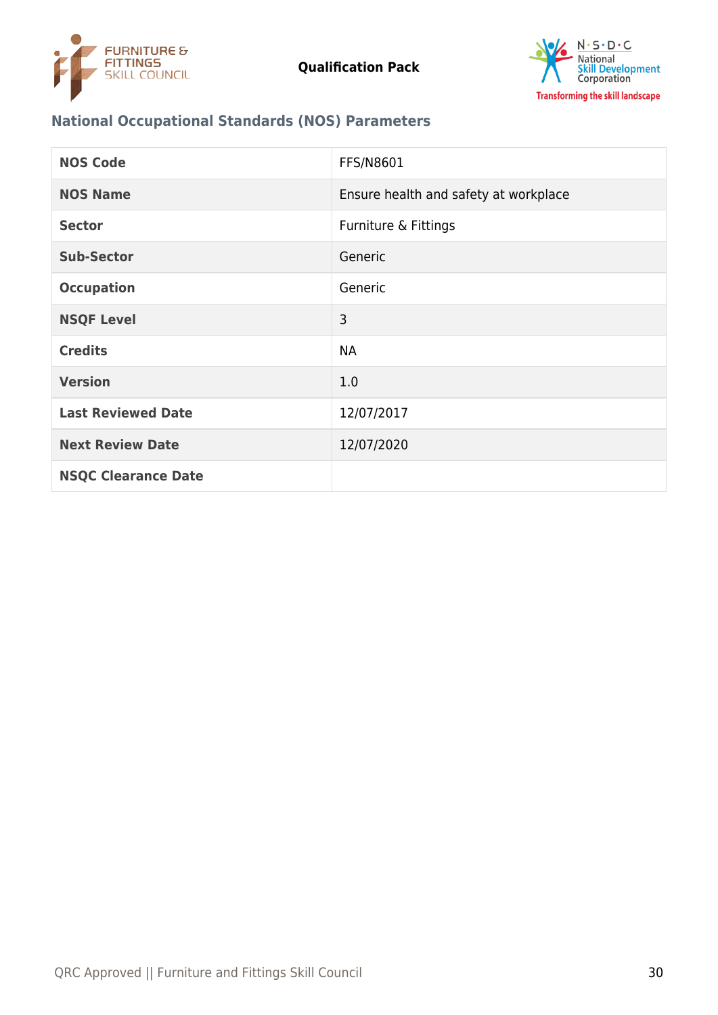



# **National Occupational Standards (NOS) Parameters**

| <b>NOS Code</b>            | FFS/N8601                             |
|----------------------------|---------------------------------------|
| <b>NOS Name</b>            | Ensure health and safety at workplace |
| <b>Sector</b>              | Furniture & Fittings                  |
| <b>Sub-Sector</b>          | Generic                               |
| <b>Occupation</b>          | Generic                               |
| <b>NSQF Level</b>          | 3                                     |
| <b>Credits</b>             | <b>NA</b>                             |
| <b>Version</b>             | 1.0                                   |
| <b>Last Reviewed Date</b>  | 12/07/2017                            |
| <b>Next Review Date</b>    | 12/07/2020                            |
| <b>NSQC Clearance Date</b> |                                       |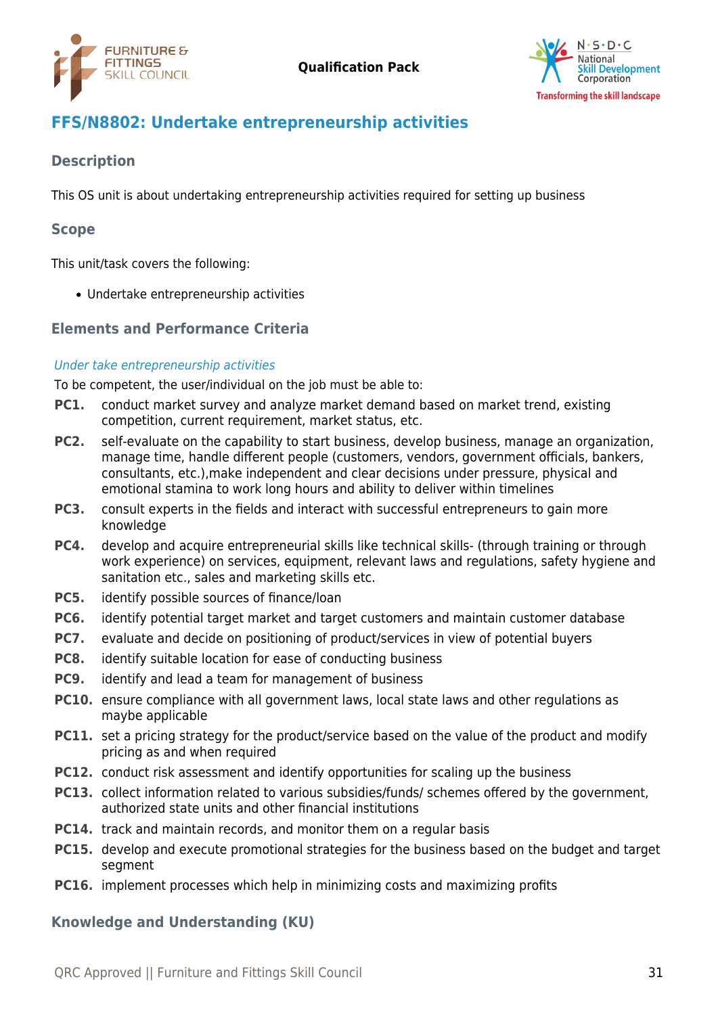



# <span id="page-30-0"></span>**FFS/N8802: Undertake entrepreneurship activities**

# **Description**

This OS unit is about undertaking entrepreneurship activities required for setting up business

### **Scope**

This unit/task covers the following:

Undertake entrepreneurship activities

# **Elements and Performance Criteria**

#### Under take entrepreneurship activities

To be competent, the user/individual on the job must be able to:

- **PC1.** conduct market survey and analyze market demand based on market trend, existing competition, current requirement, market status, etc.
- **PC2.** self-evaluate on the capability to start business, develop business, manage an organization, manage time, handle different people (customers, vendors, government officials, bankers, consultants, etc.),make independent and clear decisions under pressure, physical and emotional stamina to work long hours and ability to deliver within timelines
- **PC3.** consult experts in the fields and interact with successful entrepreneurs to gain more knowledge
- **PC4.** develop and acquire entrepreneurial skills like technical skills- (through training or through work experience) on services, equipment, relevant laws and regulations, safety hygiene and sanitation etc., sales and marketing skills etc.
- **PC5.** identify possible sources of finance/loan
- **PC6.** identify potential target market and target customers and maintain customer database
- **PC7.** evaluate and decide on positioning of product/services in view of potential buyers
- **PC8.** identify suitable location for ease of conducting business
- **PC9.** identify and lead a team for management of business
- **PC10.** ensure compliance with all government laws, local state laws and other regulations as maybe applicable
- **PC11.** set a pricing strategy for the product/service based on the value of the product and modify pricing as and when required
- **PC12.** conduct risk assessment and identify opportunities for scaling up the business
- **PC13.** collect information related to various subsidies/funds/ schemes offered by the government, authorized state units and other financial institutions
- **PC14.** track and maintain records, and monitor them on a regular basis
- **PC15.** develop and execute promotional strategies for the business based on the budget and target segment
- **PC16.** implement processes which help in minimizing costs and maximizing profits

## **Knowledge and Understanding (KU)**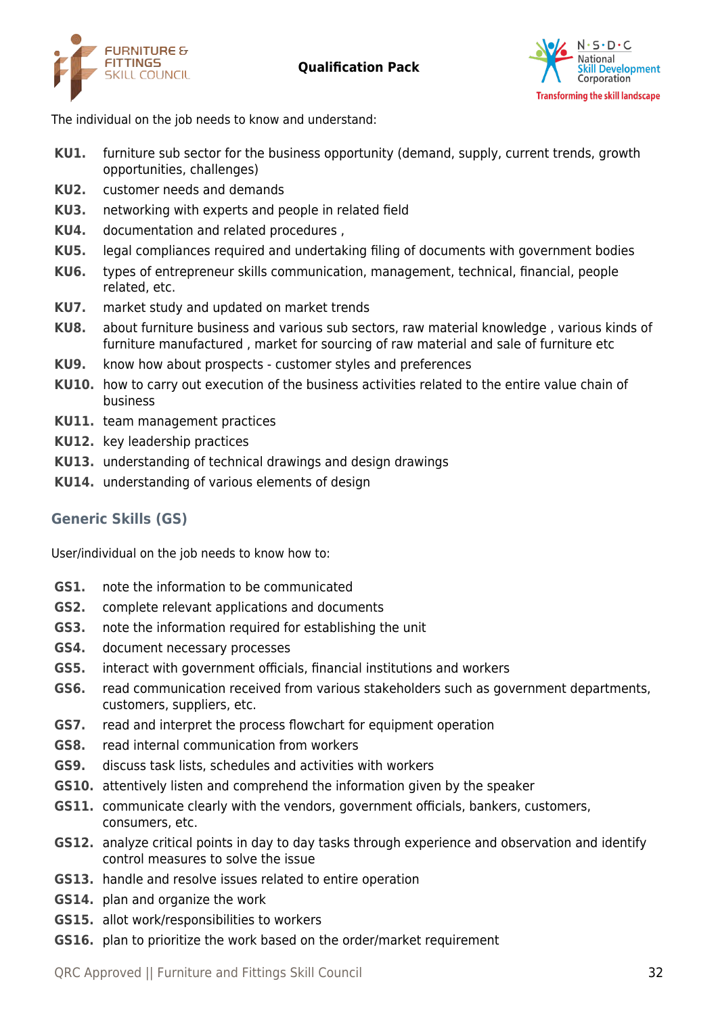



The individual on the job needs to know and understand:

- **KU1.** furniture sub sector for the business opportunity (demand, supply, current trends, growth opportunities, challenges)
- **KU2.** customer needs and demands
- **KU3.** networking with experts and people in related field
- **KU4.** documentation and related procedures ,
- **KU5.** legal compliances required and undertaking filing of documents with government bodies
- **KU6.** types of entrepreneur skills communication, management, technical, financial, people related, etc.
- **KU7.** market study and updated on market trends
- **KU8.** about furniture business and various sub sectors, raw material knowledge , various kinds of furniture manufactured , market for sourcing of raw material and sale of furniture etc
- **KU9.** know how about prospects customer styles and preferences
- **KU10.** how to carry out execution of the business activities related to the entire value chain of business
- **KU11.** team management practices
- **KU12.** key leadership practices
- **KU13.** understanding of technical drawings and design drawings
- **KU14.** understanding of various elements of design

# **Generic Skills (GS)**

User/individual on the job needs to know how to:

- **GS1.** note the information to be communicated
- **GS2.** complete relevant applications and documents
- **GS3.** note the information required for establishing the unit
- **GS4.** document necessary processes
- **GS5.** interact with government officials, financial institutions and workers
- **GS6.** read communication received from various stakeholders such as government departments, customers, suppliers, etc.
- **GS7.** read and interpret the process flowchart for equipment operation
- **GS8.** read internal communication from workers
- **GS9.** discuss task lists, schedules and activities with workers
- **GS10.** attentively listen and comprehend the information given by the speaker
- **GS11.** communicate clearly with the vendors, government officials, bankers, customers, consumers, etc.
- **GS12.** analyze critical points in day to day tasks through experience and observation and identify control measures to solve the issue
- **GS13.** handle and resolve issues related to entire operation
- **GS14.** plan and organize the work
- **GS15.** allot work/responsibilities to workers
- **GS16.** plan to prioritize the work based on the order/market requirement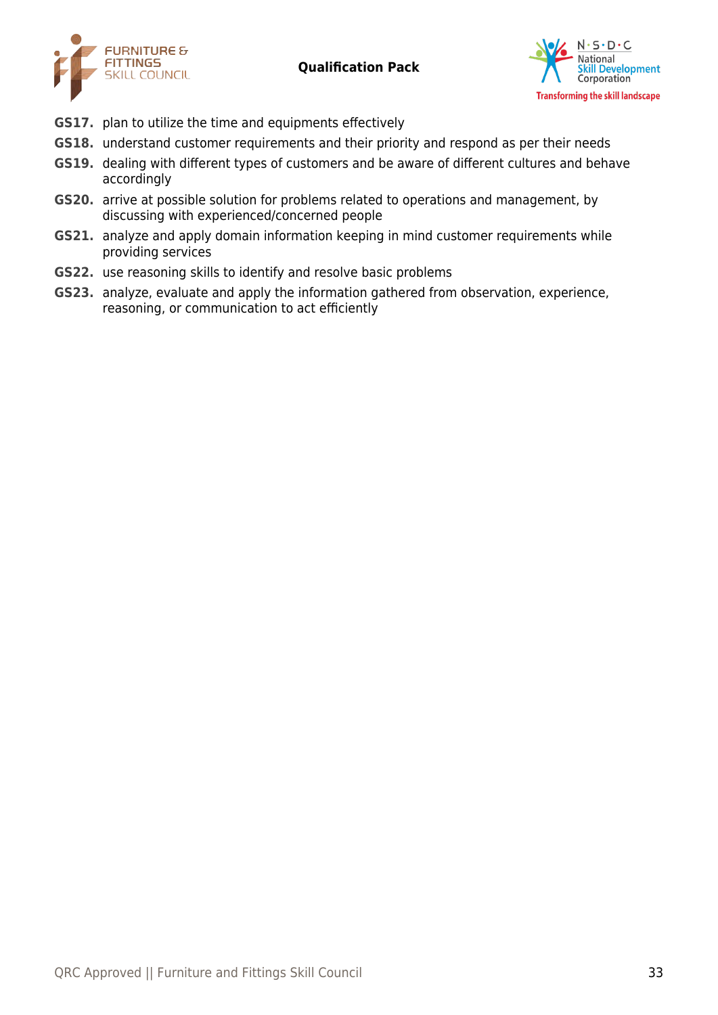



- **GS17.** plan to utilize the time and equipments effectively
- **GS18.** understand customer requirements and their priority and respond as per their needs
- **GS19.** dealing with different types of customers and be aware of different cultures and behave accordingly
- **GS20.** arrive at possible solution for problems related to operations and management, by discussing with experienced/concerned people
- **GS21.** analyze and apply domain information keeping in mind customer requirements while providing services
- **GS22.** use reasoning skills to identify and resolve basic problems
- **GS23.** analyze, evaluate and apply the information gathered from observation, experience, reasoning, or communication to act efficiently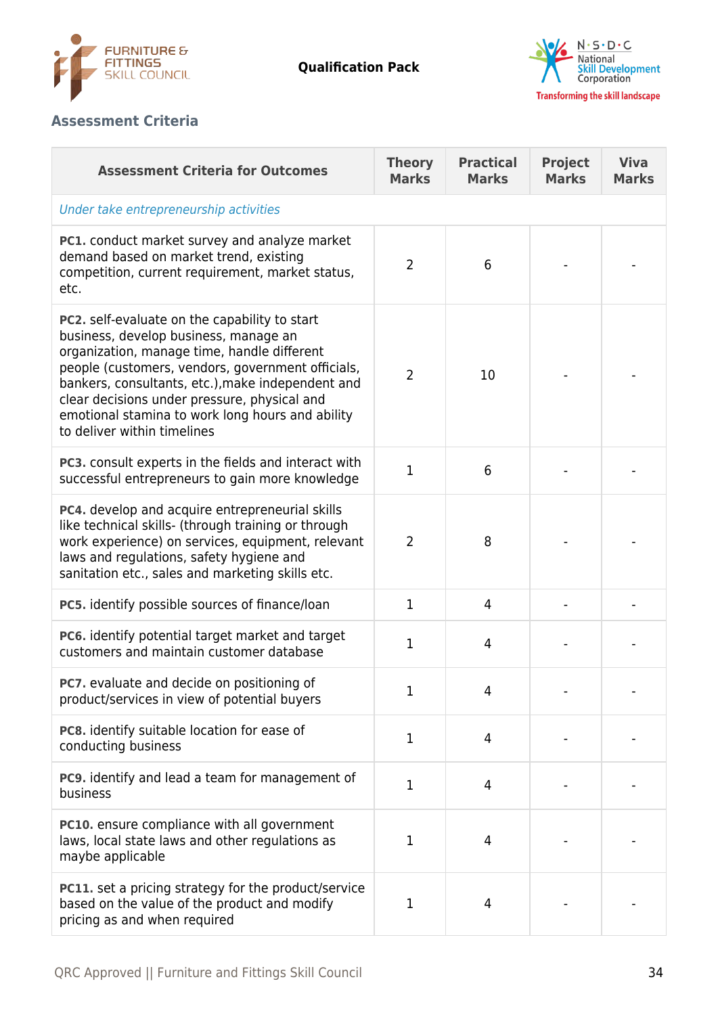



# **Assessment Criteria**

| <b>Assessment Criteria for Outcomes</b>                                                                                                                                                                                                                                                                                                                                                   | <b>Theory</b><br><b>Marks</b> | <b>Practical</b><br><b>Marks</b> | <b>Project</b><br><b>Marks</b> | <b>Viva</b><br><b>Marks</b> |
|-------------------------------------------------------------------------------------------------------------------------------------------------------------------------------------------------------------------------------------------------------------------------------------------------------------------------------------------------------------------------------------------|-------------------------------|----------------------------------|--------------------------------|-----------------------------|
| Under take entrepreneurship activities                                                                                                                                                                                                                                                                                                                                                    |                               |                                  |                                |                             |
| PC1. conduct market survey and analyze market<br>demand based on market trend, existing<br>competition, current requirement, market status,<br>etc.                                                                                                                                                                                                                                       | $\overline{2}$                | 6                                |                                |                             |
| <b>PC2.</b> self-evaluate on the capability to start<br>business, develop business, manage an<br>organization, manage time, handle different<br>people (customers, vendors, government officials,<br>bankers, consultants, etc.), make independent and<br>clear decisions under pressure, physical and<br>emotional stamina to work long hours and ability<br>to deliver within timelines | $\overline{2}$                | 10                               |                                |                             |
| <b>PC3.</b> consult experts in the fields and interact with<br>successful entrepreneurs to gain more knowledge                                                                                                                                                                                                                                                                            | $\mathbf{1}$                  | 6                                |                                |                             |
| PC4. develop and acquire entrepreneurial skills<br>like technical skills- (through training or through<br>work experience) on services, equipment, relevant<br>laws and regulations, safety hygiene and<br>sanitation etc., sales and marketing skills etc.                                                                                                                               | $\overline{2}$                | 8                                |                                |                             |
| PC5. identify possible sources of finance/loan                                                                                                                                                                                                                                                                                                                                            | $\mathbf{1}$                  | 4                                |                                |                             |
| PC6. identify potential target market and target<br>customers and maintain customer database                                                                                                                                                                                                                                                                                              | $\mathbf{1}$                  | 4                                |                                |                             |
| PC7. evaluate and decide on positioning of<br>product/services in view of potential buyers                                                                                                                                                                                                                                                                                                | 1                             | 4                                |                                |                             |
| PC8. identify suitable location for ease of<br>conducting business                                                                                                                                                                                                                                                                                                                        | $\mathbf 1$                   | 4                                |                                |                             |
| PC9. identify and lead a team for management of<br>business                                                                                                                                                                                                                                                                                                                               | 1                             | 4                                |                                |                             |
| PC10. ensure compliance with all government<br>laws, local state laws and other regulations as<br>maybe applicable                                                                                                                                                                                                                                                                        | 1                             | 4                                |                                |                             |
| <b>PC11.</b> set a pricing strategy for the product/service<br>based on the value of the product and modify<br>pricing as and when required                                                                                                                                                                                                                                               | 1                             | 4                                |                                |                             |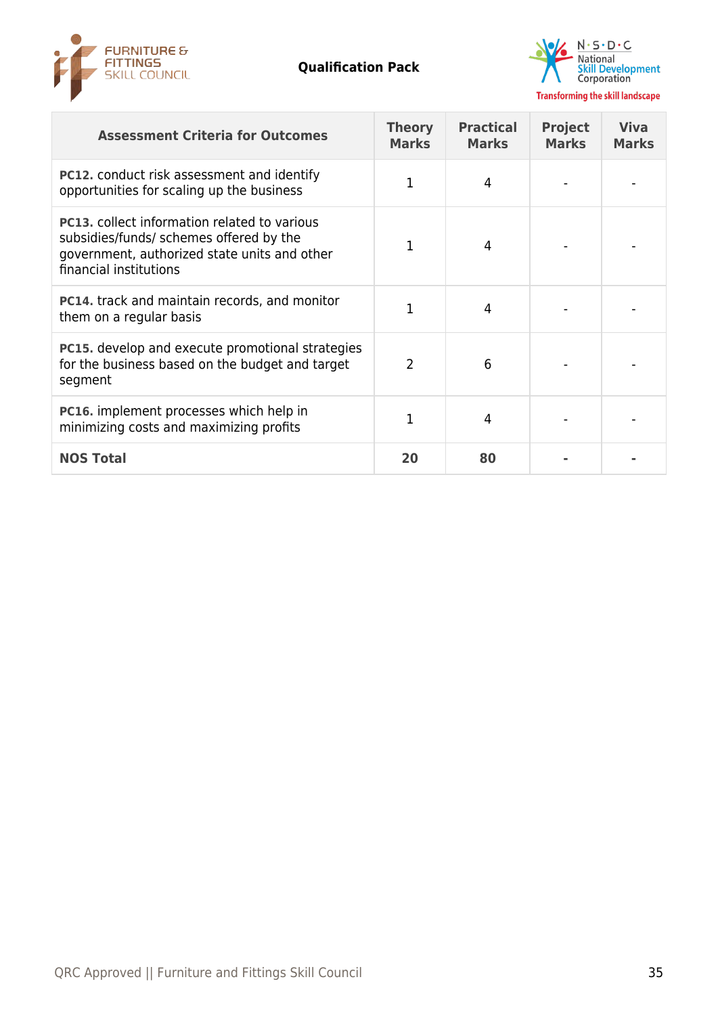



| <b>Assessment Criteria for Outcomes</b>                                                                                                                                  | <b>Theory</b><br><b>Marks</b> | <b>Practical</b><br><b>Marks</b> | <b>Project</b><br><b>Marks</b> | <b>Viva</b><br><b>Marks</b> |
|--------------------------------------------------------------------------------------------------------------------------------------------------------------------------|-------------------------------|----------------------------------|--------------------------------|-----------------------------|
| <b>PC12.</b> conduct risk assessment and identify<br>opportunities for scaling up the business                                                                           | 1                             | 4                                |                                |                             |
| <b>PC13.</b> collect information related to various<br>subsidies/funds/ schemes offered by the<br>government, authorized state units and other<br>financial institutions | 1                             | 4                                |                                |                             |
| <b>PC14.</b> track and maintain records, and monitor<br>them on a regular basis                                                                                          | 1                             | 4                                |                                |                             |
| <b>PC15.</b> develop and execute promotional strategies<br>for the business based on the budget and target<br>segment                                                    | $\overline{2}$                | 6                                |                                |                             |
| <b>PC16.</b> implement processes which help in<br>minimizing costs and maximizing profits                                                                                |                               | 4                                |                                |                             |
| <b>NOS Total</b>                                                                                                                                                         | 20                            | 80                               |                                |                             |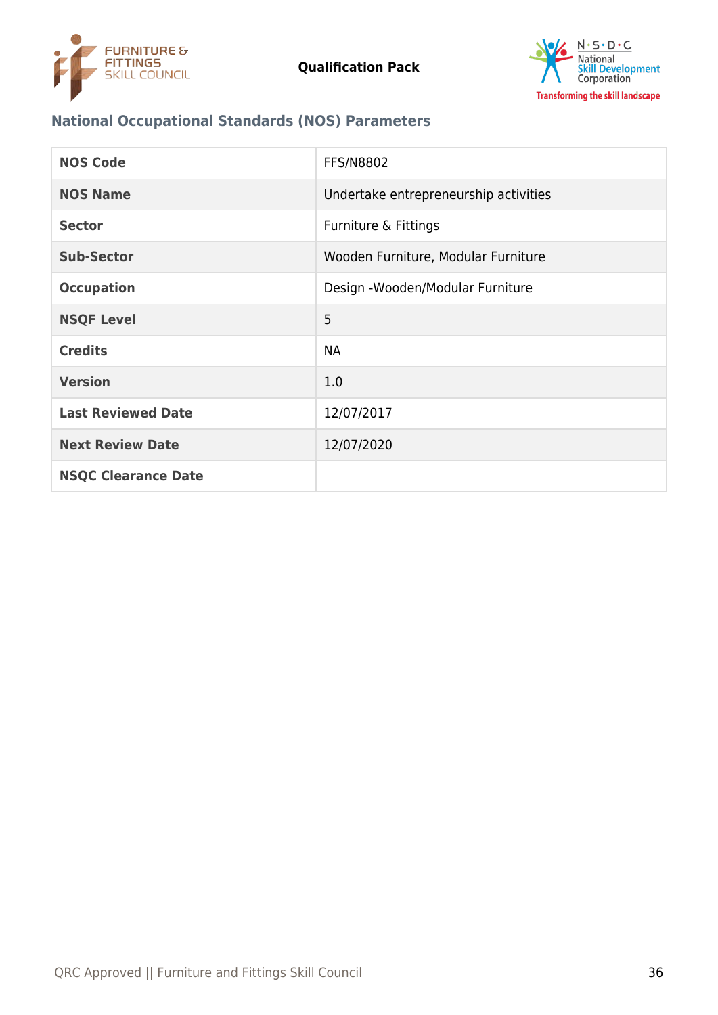



# **National Occupational Standards (NOS) Parameters**

| <b>NOS Code</b>            | <b>FFS/N8802</b>                      |
|----------------------------|---------------------------------------|
| <b>NOS Name</b>            | Undertake entrepreneurship activities |
| <b>Sector</b>              | Furniture & Fittings                  |
| <b>Sub-Sector</b>          | Wooden Furniture, Modular Furniture   |
| <b>Occupation</b>          | Design - Wooden/Modular Furniture     |
| <b>NSQF Level</b>          | 5                                     |
| <b>Credits</b>             | <b>NA</b>                             |
| <b>Version</b>             | 1.0                                   |
| <b>Last Reviewed Date</b>  | 12/07/2017                            |
| <b>Next Review Date</b>    | 12/07/2020                            |
| <b>NSQC Clearance Date</b> |                                       |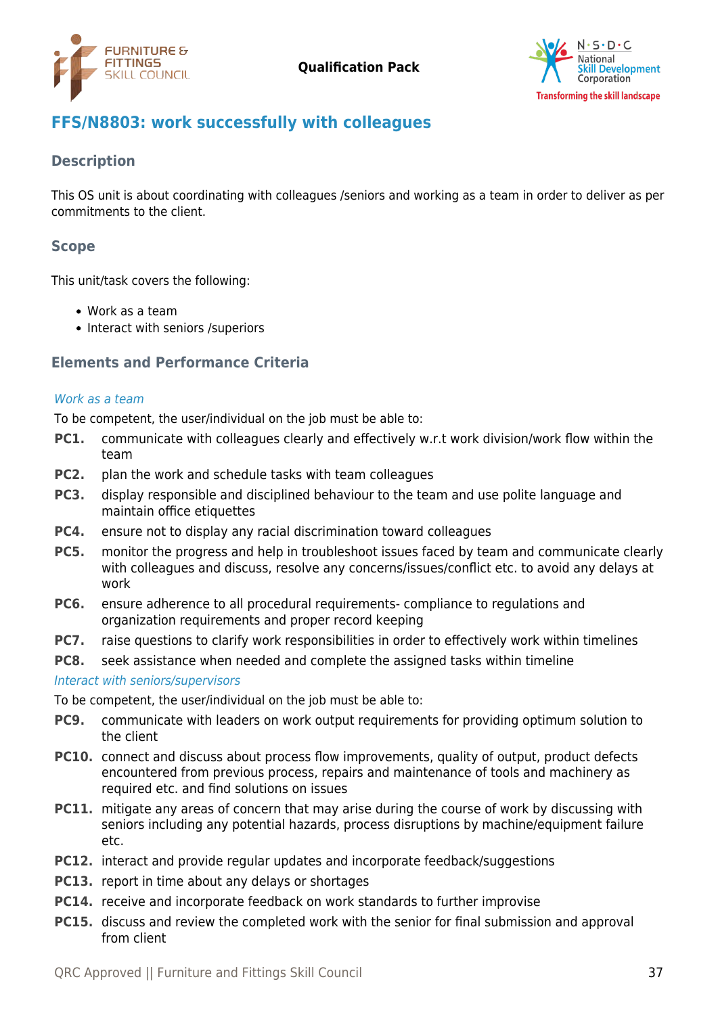



# <span id="page-36-0"></span>**FFS/N8803: work successfully with colleagues**

## **Description**

This OS unit is about coordinating with colleagues /seniors and working as a team in order to deliver as per commitments to the client.

# **Scope**

This unit/task covers the following:

- Work as a team
- Interact with seniors /superiors

# **Elements and Performance Criteria**

#### Work as a team

To be competent, the user/individual on the job must be able to:

- **PC1.** communicate with colleagues clearly and effectively w.r.t work division/work flow within the team
- **PC2.** plan the work and schedule tasks with team colleagues
- **PC3.** display responsible and disciplined behaviour to the team and use polite language and maintain office etiquettes
- **PC4.** ensure not to display any racial discrimination toward colleagues
- **PC5.** monitor the progress and help in troubleshoot issues faced by team and communicate clearly with colleagues and discuss, resolve any concerns/issues/conflict etc. to avoid any delays at work
- **PC6.** ensure adherence to all procedural requirements- compliance to regulations and organization requirements and proper record keeping
- **PC7.** raise questions to clarify work responsibilities in order to effectively work within timelines
- **PC8.** seek assistance when needed and complete the assigned tasks within timeline

Interact with seniors/supervisors

To be competent, the user/individual on the job must be able to:

- **PC9.** communicate with leaders on work output requirements for providing optimum solution to the client
- **PC10.** connect and discuss about process flow improvements, quality of output, product defects encountered from previous process, repairs and maintenance of tools and machinery as required etc. and find solutions on issues
- **PC11.** mitigate any areas of concern that may arise during the course of work by discussing with seniors including any potential hazards, process disruptions by machine/equipment failure etc.
- **PC12.** interact and provide regular updates and incorporate feedback/suggestions
- **PC13.** report in time about any delays or shortages
- **PC14.** receive and incorporate feedback on work standards to further improvise
- **PC15.** discuss and review the completed work with the senior for final submission and approval from client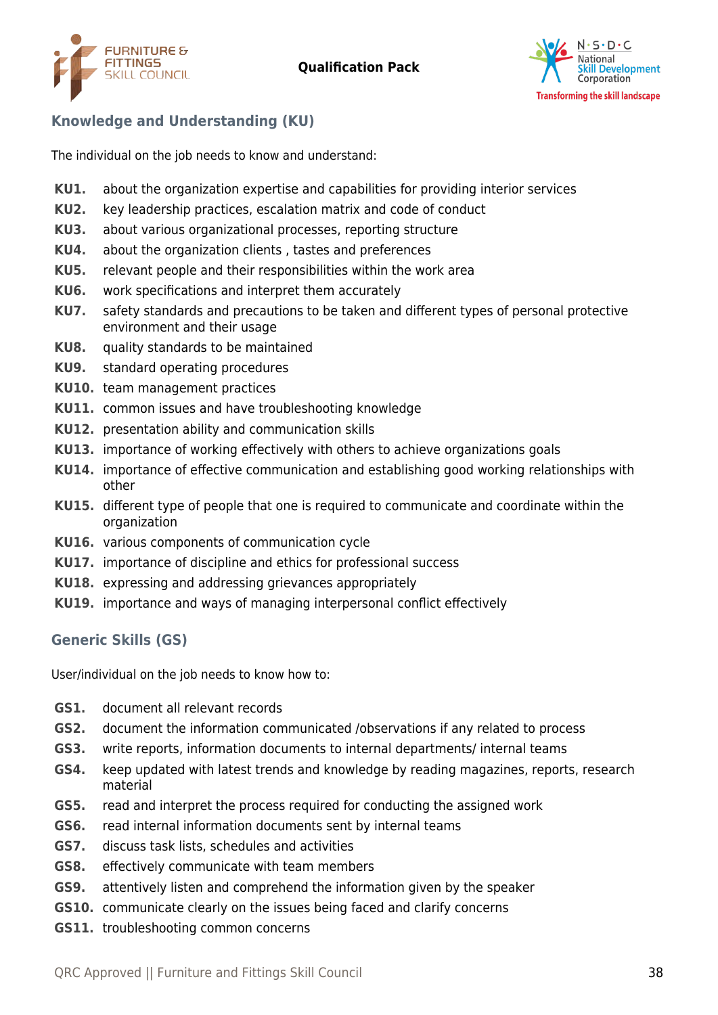



# **Knowledge and Understanding (KU)**

The individual on the job needs to know and understand:

- **KU1.** about the organization expertise and capabilities for providing interior services
- **KU2.** key leadership practices, escalation matrix and code of conduct
- **KU3.** about various organizational processes, reporting structure
- **KU4.** about the organization clients , tastes and preferences
- **KU5.** relevant people and their responsibilities within the work area
- **KU6.** work specifications and interpret them accurately
- **KU7.** safety standards and precautions to be taken and different types of personal protective environment and their usage
- **KU8.** quality standards to be maintained
- **KU9.** standard operating procedures
- **KU10.** team management practices
- **KU11.** common issues and have troubleshooting knowledge
- **KU12.** presentation ability and communication skills
- **KU13.** importance of working effectively with others to achieve organizations goals
- **KU14.** importance of effective communication and establishing good working relationships with other
- **KU15.** different type of people that one is required to communicate and coordinate within the organization
- **KU16.** various components of communication cycle
- **KU17.** importance of discipline and ethics for professional success
- **KU18.** expressing and addressing grievances appropriately
- **KU19.** importance and ways of managing interpersonal conflict effectively

# **Generic Skills (GS)**

User/individual on the job needs to know how to:

- **GS1.** document all relevant records
- **GS2.** document the information communicated /observations if any related to process
- **GS3.** write reports, information documents to internal departments/ internal teams
- **GS4.** keep updated with latest trends and knowledge by reading magazines, reports, research material
- **GS5.** read and interpret the process required for conducting the assigned work
- **GS6.** read internal information documents sent by internal teams
- **GS7.** discuss task lists, schedules and activities
- **GS8.** effectively communicate with team members
- **GS9.** attentively listen and comprehend the information given by the speaker
- **GS10.** communicate clearly on the issues being faced and clarify concerns
- **GS11.** troubleshooting common concerns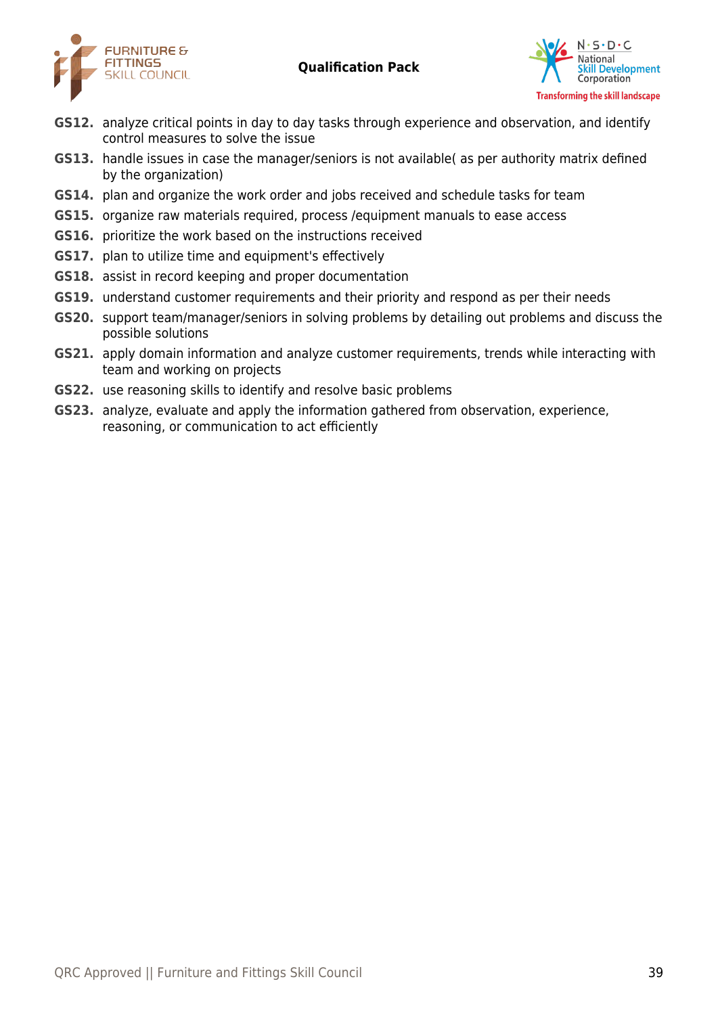



- **GS12.** analyze critical points in day to day tasks through experience and observation, and identify control measures to solve the issue
- **GS13.** handle issues in case the manager/seniors is not available( as per authority matrix defined by the organization)
- **GS14.** plan and organize the work order and jobs received and schedule tasks for team
- **GS15.** organize raw materials required, process /equipment manuals to ease access
- **GS16.** prioritize the work based on the instructions received
- **GS17.** plan to utilize time and equipment's effectively
- **GS18.** assist in record keeping and proper documentation
- **GS19.** understand customer requirements and their priority and respond as per their needs
- **GS20.** support team/manager/seniors in solving problems by detailing out problems and discuss the possible solutions
- **GS21.** apply domain information and analyze customer requirements, trends while interacting with team and working on projects
- **GS22.** use reasoning skills to identify and resolve basic problems
- **GS23.** analyze, evaluate and apply the information gathered from observation, experience, reasoning, or communication to act efficiently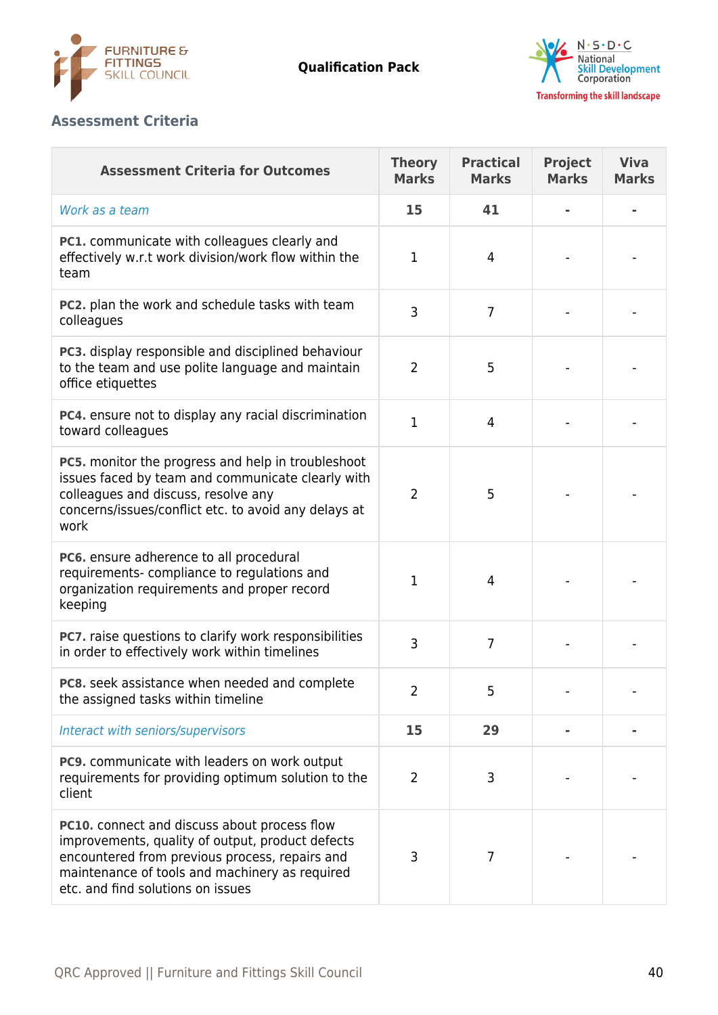



## **Assessment Criteria**

| <b>Assessment Criteria for Outcomes</b>                                                                                                                                                                                                   | <b>Theory</b><br><b>Marks</b> | <b>Practical</b><br><b>Marks</b> | <b>Project</b><br><b>Marks</b> | <b>Viva</b><br><b>Marks</b> |
|-------------------------------------------------------------------------------------------------------------------------------------------------------------------------------------------------------------------------------------------|-------------------------------|----------------------------------|--------------------------------|-----------------------------|
| Work as a team                                                                                                                                                                                                                            | 15                            | 41                               |                                |                             |
| PC1. communicate with colleagues clearly and<br>effectively w.r.t work division/work flow within the<br>team                                                                                                                              | 1                             | $\overline{4}$                   |                                |                             |
| PC2. plan the work and schedule tasks with team<br>colleagues                                                                                                                                                                             | 3                             | 7                                |                                |                             |
| PC3. display responsible and disciplined behaviour<br>to the team and use polite language and maintain<br>office etiquettes                                                                                                               | $\overline{2}$                | 5                                |                                |                             |
| PC4. ensure not to display any racial discrimination<br>toward colleagues                                                                                                                                                                 | 1                             | $\overline{4}$                   |                                |                             |
| <b>PC5.</b> monitor the progress and help in troubleshoot<br>issues faced by team and communicate clearly with<br>colleagues and discuss, resolve any<br>concerns/issues/conflict etc. to avoid any delays at<br>work                     | $\overline{2}$                | 5                                |                                |                             |
| PC6. ensure adherence to all procedural<br>requirements-compliance to regulations and<br>organization requirements and proper record<br>keeping                                                                                           | 1                             | 4                                |                                |                             |
| PC7. raise questions to clarify work responsibilities<br>in order to effectively work within timelines                                                                                                                                    | 3                             | 7                                |                                |                             |
| PC8. seek assistance when needed and complete<br>the assigned tasks within timeline                                                                                                                                                       | 2                             | 5                                |                                |                             |
| Interact with seniors/supervisors                                                                                                                                                                                                         | 15                            | 29                               |                                |                             |
| PC9. communicate with leaders on work output<br>requirements for providing optimum solution to the<br>client                                                                                                                              | $\overline{2}$                | 3                                |                                |                             |
| PC10. connect and discuss about process flow<br>improvements, quality of output, product defects<br>encountered from previous process, repairs and<br>maintenance of tools and machinery as required<br>etc. and find solutions on issues | 3                             | 7                                |                                |                             |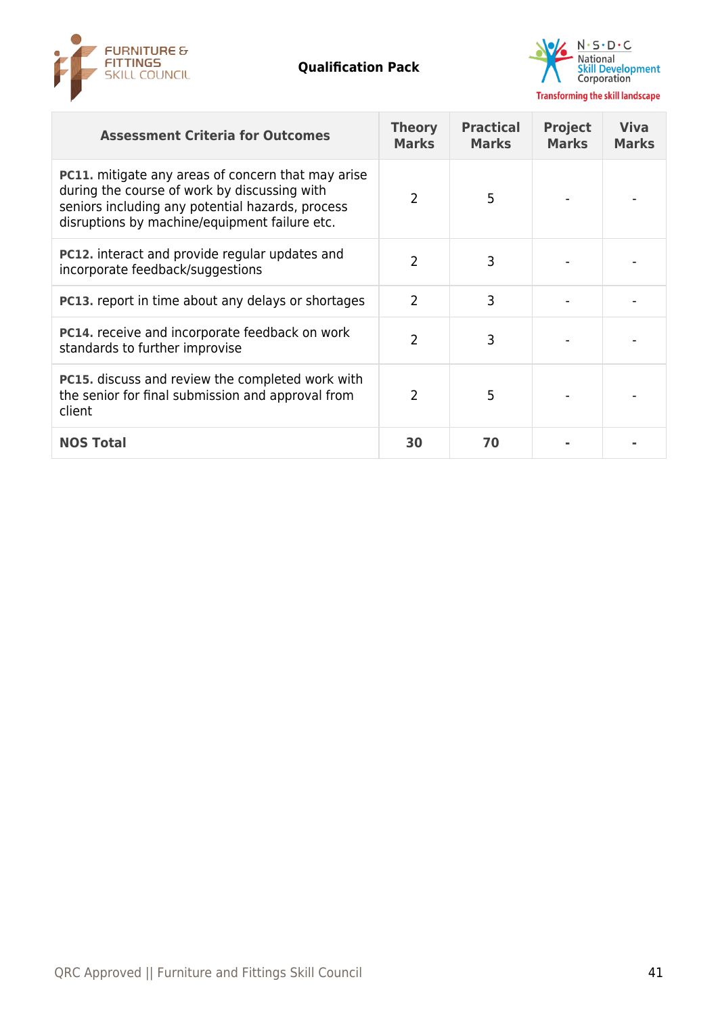



| <b>Assessment Criteria for Outcomes</b>                                                                                                                                                                        | <b>Theory</b><br><b>Marks</b> | <b>Practical</b><br><b>Marks</b> | <b>Project</b><br><b>Marks</b> | <b>Viva</b><br><b>Marks</b> |
|----------------------------------------------------------------------------------------------------------------------------------------------------------------------------------------------------------------|-------------------------------|----------------------------------|--------------------------------|-----------------------------|
| <b>PC11.</b> mitigate any areas of concern that may arise<br>during the course of work by discussing with<br>seniors including any potential hazards, process<br>disruptions by machine/equipment failure etc. | 2                             | 5                                |                                |                             |
| <b>PC12.</b> interact and provide regular updates and<br>incorporate feedback/suggestions                                                                                                                      | 2                             | 3                                |                                |                             |
| <b>PC13.</b> report in time about any delays or shortages                                                                                                                                                      | 2                             | 3                                |                                |                             |
| <b>PC14.</b> receive and incorporate feedback on work<br>standards to further improvise                                                                                                                        | 2                             | 3                                |                                |                             |
| <b>PC15.</b> discuss and review the completed work with<br>the senior for final submission and approval from<br>client                                                                                         | $\mathcal{P}$                 | 5                                |                                |                             |
| <b>NOS Total</b>                                                                                                                                                                                               | 30                            | 70                               |                                |                             |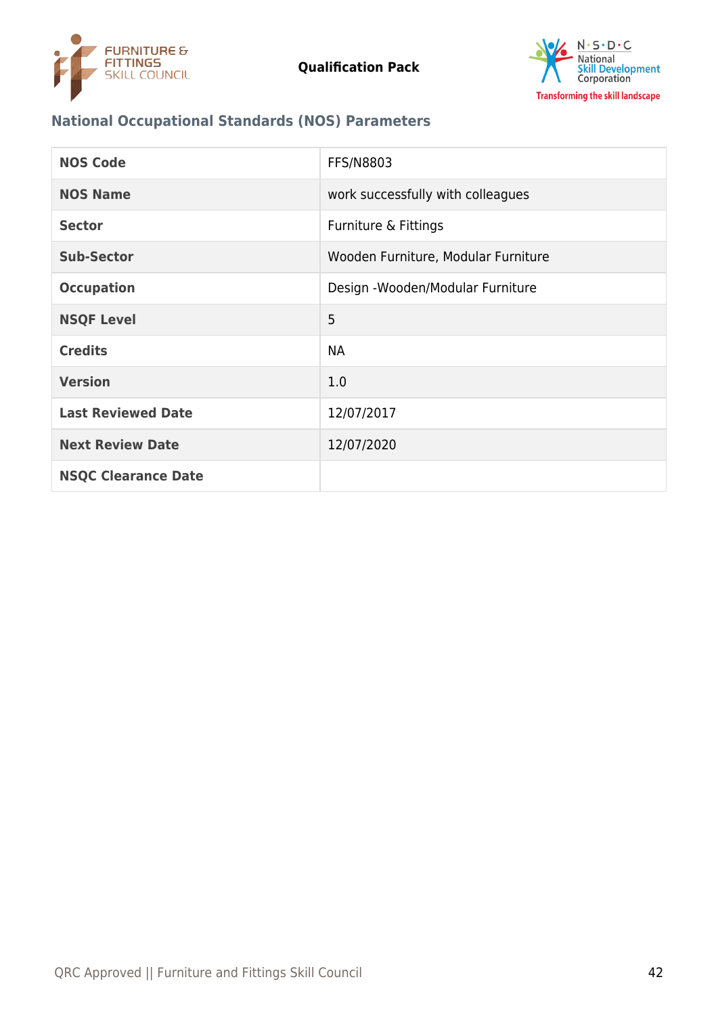



# **National Occupational Standards (NOS) Parameters**

| <b>NOS Code</b>            | <b>FFS/N8803</b>                    |
|----------------------------|-------------------------------------|
| <b>NOS Name</b>            | work successfully with colleagues   |
| <b>Sector</b>              | Furniture & Fittings                |
| <b>Sub-Sector</b>          | Wooden Furniture, Modular Furniture |
| <b>Occupation</b>          | Design - Wooden/Modular Furniture   |
| <b>NSQF Level</b>          | 5                                   |
| <b>Credits</b>             | <b>NA</b>                           |
| <b>Version</b>             | 1.0                                 |
| <b>Last Reviewed Date</b>  | 12/07/2017                          |
| <b>Next Review Date</b>    | 12/07/2020                          |
| <b>NSQC Clearance Date</b> |                                     |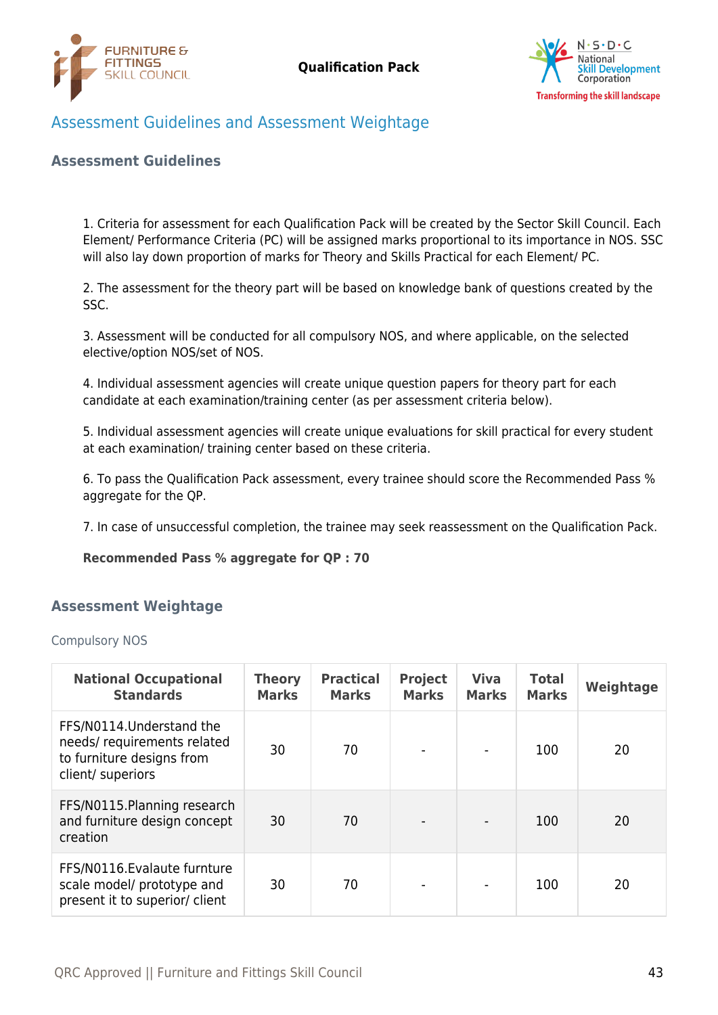



# <span id="page-42-0"></span>Assessment Guidelines and Assessment Weightage

#### **Assessment Guidelines**

1. Criteria for assessment for each Qualification Pack will be created by the Sector Skill Council. Each Element/ Performance Criteria (PC) will be assigned marks proportional to its importance in NOS. SSC will also lay down proportion of marks for Theory and Skills Practical for each Element/ PC.

2. The assessment for the theory part will be based on knowledge bank of questions created by the SSC.

3. Assessment will be conducted for all compulsory NOS, and where applicable, on the selected elective/option NOS/set of NOS.

4. Individual assessment agencies will create unique question papers for theory part for each candidate at each examination/training center (as per assessment criteria below).

5. Individual assessment agencies will create unique evaluations for skill practical for every student at each examination/ training center based on these criteria.

6. To pass the Qualification Pack assessment, every trainee should score the Recommended Pass % aggregate for the QP.

7. In case of unsuccessful completion, the trainee may seek reassessment on the Qualification Pack.

#### **Recommended Pass % aggregate for QP : 70**

#### <span id="page-42-1"></span>**Assessment Weightage**

#### Compulsory NOS

| <b>National Occupational</b><br><b>Standards</b>                                                          | <b>Theory</b><br><b>Marks</b> | <b>Practical</b><br><b>Marks</b> | <b>Project</b><br><b>Marks</b> | <b>Viva</b><br><b>Marks</b> | <b>Total</b><br><b>Marks</b> | Weightage |
|-----------------------------------------------------------------------------------------------------------|-------------------------------|----------------------------------|--------------------------------|-----------------------------|------------------------------|-----------|
| FFS/N0114. Understand the<br>needs/requirements related<br>to furniture designs from<br>client/ superiors | 30                            | 70                               |                                |                             | 100                          | 20        |
| FFS/N0115. Planning research<br>and furniture design concept<br>creation                                  | 30                            | 70                               |                                |                             | 100                          | 20        |
| FFS/N0116. Evalaute furnture<br>scale model/ prototype and<br>present it to superior/ client              | 30                            | 70                               |                                |                             | 100                          | 20        |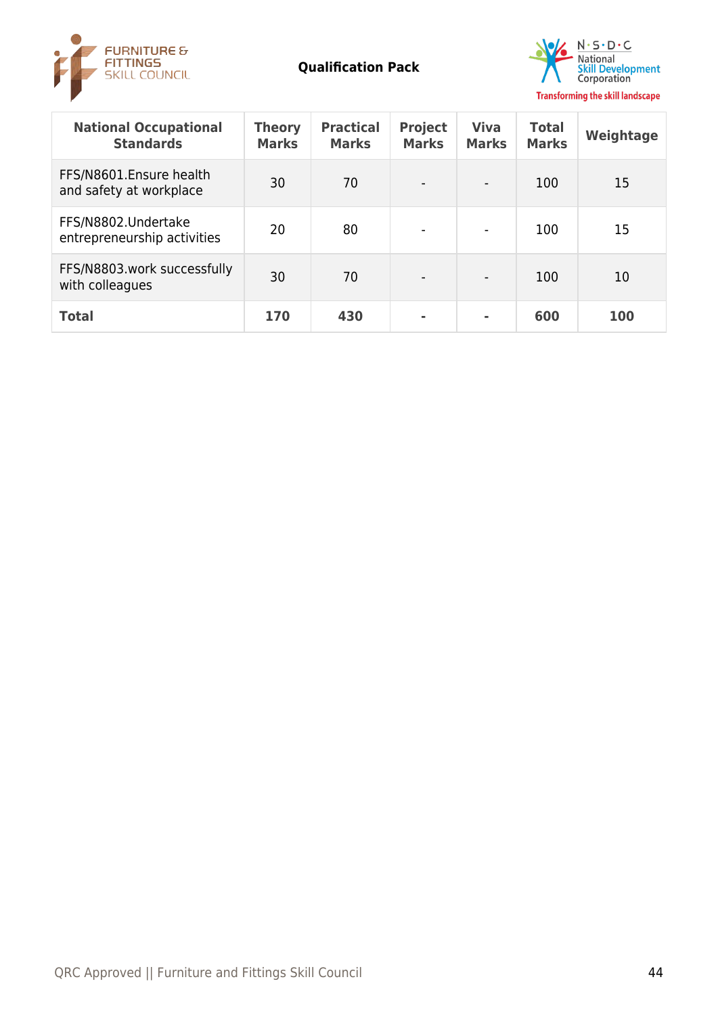



| <b>National Occupational</b><br><b>Standards</b>   | <b>Theory</b><br><b>Marks</b> | <b>Practical</b><br><b>Marks</b> | <b>Project</b><br><b>Marks</b> | <b>Viva</b><br><b>Marks</b> | <b>Total</b><br><b>Marks</b> | Weightage |
|----------------------------------------------------|-------------------------------|----------------------------------|--------------------------------|-----------------------------|------------------------------|-----------|
| FFS/N8601.Ensure health<br>and safety at workplace | 30                            | 70                               |                                |                             | 100                          | 15        |
| FFS/N8802.Undertake<br>entrepreneurship activities | 20                            | 80                               |                                | $\blacksquare$              | 100                          | 15        |
| FFS/N8803.work successfully<br>with colleagues     | 30                            | 70                               | $\overline{\phantom{0}}$       |                             | 100                          | 10        |
| <b>Total</b>                                       | 170                           | 430                              |                                |                             | 600                          | 100       |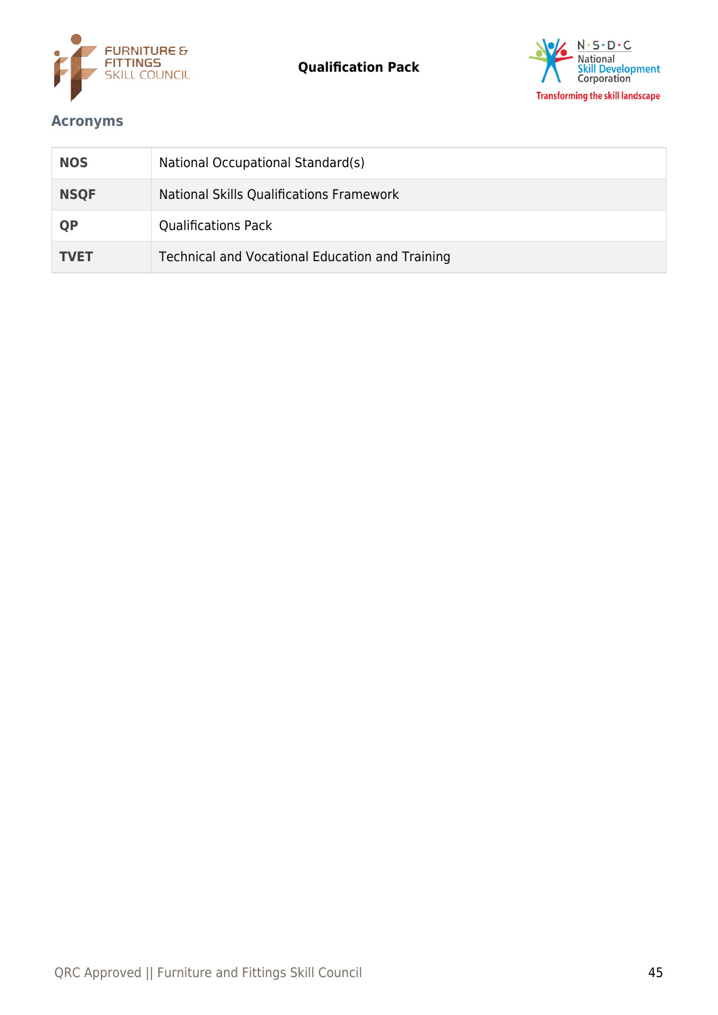



# <span id="page-44-0"></span>**Acronyms**

| <b>NOS</b>  | National Occupational Standard(s)               |
|-------------|-------------------------------------------------|
| <b>NSQF</b> | National Skills Qualifications Framework        |
| <b>QP</b>   | <b>Qualifications Pack</b>                      |
| <b>TVET</b> | Technical and Vocational Education and Training |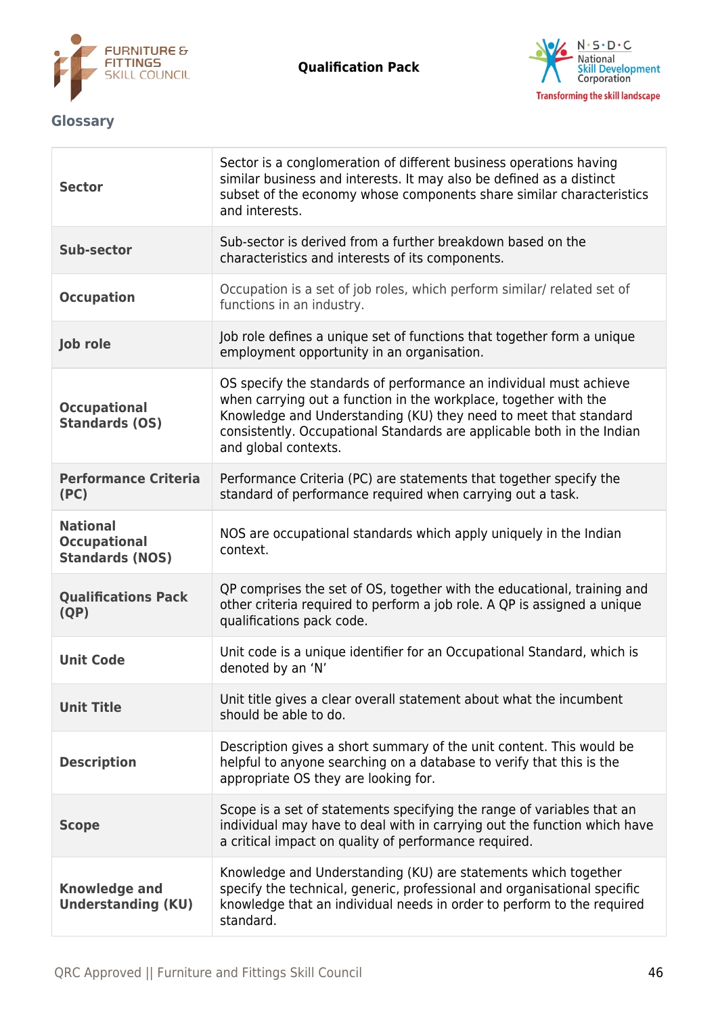



# <span id="page-45-0"></span>**Glossary**

| <b>Sector</b>                                                    | Sector is a conglomeration of different business operations having<br>similar business and interests. It may also be defined as a distinct<br>subset of the economy whose components share similar characteristics<br>and interests.                                                                         |
|------------------------------------------------------------------|--------------------------------------------------------------------------------------------------------------------------------------------------------------------------------------------------------------------------------------------------------------------------------------------------------------|
| <b>Sub-sector</b>                                                | Sub-sector is derived from a further breakdown based on the<br>characteristics and interests of its components.                                                                                                                                                                                              |
| <b>Occupation</b>                                                | Occupation is a set of job roles, which perform similar/ related set of<br>functions in an industry.                                                                                                                                                                                                         |
| <b>Job role</b>                                                  | Job role defines a unique set of functions that together form a unique<br>employment opportunity in an organisation.                                                                                                                                                                                         |
| <b>Occupational</b><br><b>Standards (OS)</b>                     | OS specify the standards of performance an individual must achieve<br>when carrying out a function in the workplace, together with the<br>Knowledge and Understanding (KU) they need to meet that standard<br>consistently. Occupational Standards are applicable both in the Indian<br>and global contexts. |
| <b>Performance Criteria</b><br>(PC)                              | Performance Criteria (PC) are statements that together specify the<br>standard of performance required when carrying out a task.                                                                                                                                                                             |
| <b>National</b><br><b>Occupational</b><br><b>Standards (NOS)</b> | NOS are occupational standards which apply uniquely in the Indian<br>context.                                                                                                                                                                                                                                |
| <b>Qualifications Pack</b><br>(QP)                               | QP comprises the set of OS, together with the educational, training and<br>other criteria required to perform a job role. A QP is assigned a unique<br>qualifications pack code.                                                                                                                             |
| <b>Unit Code</b>                                                 | Unit code is a unique identifier for an Occupational Standard, which is<br>denoted by an 'N'                                                                                                                                                                                                                 |
| <b>Unit Title</b>                                                | Unit title gives a clear overall statement about what the incumbent<br>should be able to do.                                                                                                                                                                                                                 |
| <b>Description</b>                                               | Description gives a short summary of the unit content. This would be<br>helpful to anyone searching on a database to verify that this is the<br>appropriate OS they are looking for.                                                                                                                         |
| <b>Scope</b>                                                     | Scope is a set of statements specifying the range of variables that an<br>individual may have to deal with in carrying out the function which have<br>a critical impact on quality of performance required.                                                                                                  |
| <b>Knowledge and</b><br><b>Understanding (KU)</b>                | Knowledge and Understanding (KU) are statements which together<br>specify the technical, generic, professional and organisational specific<br>knowledge that an individual needs in order to perform to the required<br>standard.                                                                            |